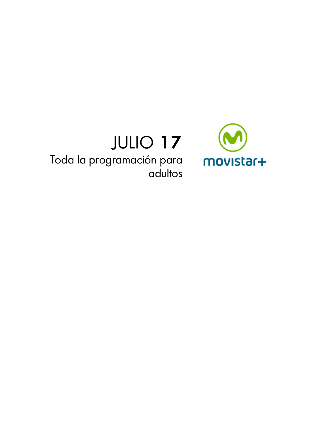

# JULIO 17 Toda la programación para adultos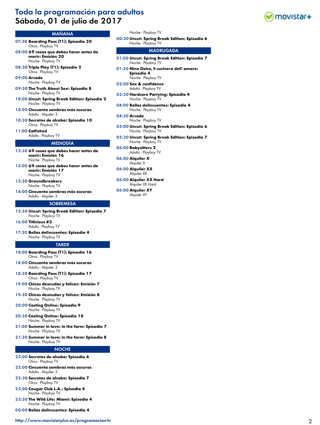# Toda la programación para adultos Sábado, 01 de julio de 2017



# MAÑANA

- 07:30 **Boarding Pass (T1): Episodio 20** Otros - Playboy TV
- 08:00 **69 cosas que debes hacer antes de morir: Emisión 20** Noche - Playboy TV
- 08:30 **Triple Play (T1): Episodio 2** Otros - Playboy TV

09:00 **Arcade** Noche - Playboy TV

- 09:30 **The Truth About Sex: Episodio 8** Noche - Playboy TV
- 10:00 **Uncut: Spring Break Edition: Episodio 2** Noche - Playboy TV
- 10:00 **Cincuenta sombras más oscuras** Adulto - Alquiler 3
- 10:30 **Secretos de alcoba: Episodio 10** Otros - Playboy TV
- 11:00 **Catfished** Adulto - Playboy TV

#### MEDIODÍA

- 12:30 **69 cosas que debes hacer antes de morir: Emisión 16** Noche - Playboy TV
- 13:00 **69 cosas que debes hacer antes de morir: Emisión 17** Noche - Playboy TV
- 13:30 **Groundbreakers** Noche - Playboy TV
- 14:00 **Cincuenta sombras más oscuras** Adulto - Alquiler 3

#### **SOBREMESA**

- 15:30 **Uncut: Spring Break Edition: Episodio 7** Noche - Playboy TV
- 16:00 **Titlicious #3** Adulto - Playboy TV
- 17:30 **Bellas delincuentes: Episodio 4** Noche - Playboy TV

#### **TARDE**

- 18:00 **Boarding Pass (T1): Episodio 16** Otros - Playboy TV
- 18:00 **Cincuenta sombras más oscuras** Adulto - Alquiler 3
- 18:30 **Boarding Pass (T1): Episodio 17** Otros - Playboy TV
- 19:00 **Chicas desnudas y felices: Emisión 7** Noche - Playboy TV
- 19:30 **Chicas desnudas y felices: Emisión 8** Noche - Playboy TV
- 20:00 **Casting Online: Episodio 9** Noche - Playboy TV
- 20:30 **Casting Online: Episodio 10** Noche - Playboy TV
- 21:00 **Summer in love: in the farm: Episodio 7** Noche - Playboy TV
- 21:30 **Summer in love: in the farm: Episodio 8** Noche - Playboy TV

#### NOCHE

- 22:00 **Secretos de alcoba: Episodio 6** Otros - Playboy TV
- 22:00 **Cincuenta sombras más oscuras** Adulto - Alquiler 3
- 22:30 **Secretos de alcoba: Episodio 7** Otros - Playboy TV
- 23:00 **Cougar Club L.A.: Episodio 4** Noche - Playboy TV
- 23:30 **The Wild Life: Miami: Episodio 4** Noche - Playboy TV
- 00:00 **Bellas delincuentes: Episodio 4**

#### <http://www.movistarplus.es/programacion-tv> 2

#### Noche - Playboy TV

00:30 **Uncut: Spring Break Edition: Episodio 6** Noche - Playboy TV

- 01:00 **Uncut: Spring Break Edition: Episodio 7** Noche - Playboy TV
- 01:30 **Nino Dolce, il cucinero dell' amore: Episodio 4** Noche - Playboy TV
- 02:00 **Sex & confidence** Adulto - Playboy TV
- 03:30 **Hardcore Partying: Episodio 4** Noche - Playboy TV
- 04:00 **Bellas delincuentes: Episodio 4** Noche - Playboy TV
- 04:30 **Arcade** Noche - Playboy TV
- 05:00 **Uncut: Spring Break Edition: Episodio 6** Noche - Playboy TV
- 05:30 **Uncut: Spring Break Edition: Episodio 7** Noche - Playboy TV
- 06:00 **Babysitters 2** Adulto - Playboy TV
- 06:00 **Alquiler X** Alquiler X
- 06:00 **Alquiler XX** Alquiler XX
- 06:00 **Alquiler XX Hard** Alquiler XX Hard
- 06:00 **Alquiler XY** Alquiler XY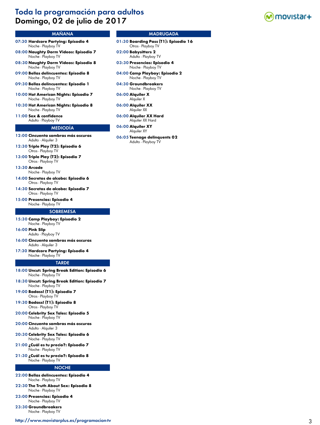# Toda la programación para adultos Domingo, 02 de julio de 2017



# MAÑANA

- 07:30 **Hardcore Partying: Episodio 4** Noche - Playboy TV
- 08:00 **Naughty Dorm Videos: Episodio 7** Noche - Playboy TV
- 08:30 **Naughty Dorm Videos: Episodio 8** Noche - Playboy TV
- 09:00 **Bellas delincuentes: Episodio 8** Noche - Playboy TV
- 09:30 **Bellas delincuentes: Episodio 1** Noche - Playboy TV
- 10:00 **Hot American Nights: Episodio 7** Noche - Playboy TV
- 10:30 **Hot American Nights: Episodio 8** Noche - Playboy TV
- 11:00 **Sex & confidence** Adulto - Playboy TV

#### MEDIODÍA

- 12:00 **Cincuenta sombras más oscuras** Adulto - Alquiler 3
- 12:30 **Triple Play (T2): Episodio 6** Otros - Playboy TV
- 13:00 **Triple Play (T2): Episodio 7** Otros - Playboy TV
- 13:30 **Arcade**
- Noche Playboy TV 14:00 **Secretos de alcoba: Episodio 6** Otros - Playboy TV
- 14:30 **Secretos de alcoba: Episodio 7** Otros - Playboy TV
- 15:00 **Presencias: Episodio 4** Noche - Playboy TV

#### **SOBREMESA**

- 15:30 **Camp Playboy: Episodio 2** Noche - Playboy TV
- 16:00 **Pink Slip**
- Adulto Playboy TV 16:00 **Cincuenta sombras más oscuras**
- Adulto Alquiler 3
- 17:30 **Hardcore Partying: Episodio 4** Noche - Playboy TV

#### **TARDE**

- 18:00 **Uncut: Spring Break Edition: Episodio 6** Noche - Playboy TV
- 18:30 **Uncut: Spring Break Edition: Episodio 7** Noche - Playboy TV
- 19:00 **Badass! (T1): Episodio 7** Otros - Playboy TV
- 19:30 **Badass! (T1): Episodio 8** Otros - Playboy TV
- 20:00 **Celebrity Sex Tales: Episodio 5** Noche - Playboy TV
- 20:00 **Cincuenta sombras más oscuras** Adulto - Alquiler 3
- 20:30 **Celebrity Sex Tales: Episodio 6** Noche - Playboy TV
- 21:00 **¿Cuál es tu precio?: Episodio 7** Noche - Playboy TV
- 21:30 **¿Cuál es tu precio?: Episodio 8** Noche - Playboy TV

#### NOCHE

- 22:00 **Bellas delincuentes: Episodio 4** Noche - Playboy TV
- 22:30 **The Truth About Sex: Episodio 8** Noche - Playboy TV
- 23:00 **Presencias: Episodio 4** Noche - Playboy TV
- 23:30 **Groundbreakers** Noche - Playboy TV

<http://www.movistarplus.es/programacion-tv> 3

- 01:30 **Boarding Pass (T1): Episodio 16** Otros - Playboy TV
- 02:00 **Babysitters 2** Adulto - Playboy TV
- 03:30 **Presencias: Episodio 4** Noche - Playboy TV
- 04:00 **Camp Playboy: Episodio 2** Noche - Playboy TV
- 04:30 **Groundbreakers** Noche - Playboy TV
- 06:00 **Alquiler X** Alquiler X
- 06:00 **Alquiler XX** Alquiler XX
- 06:00 **Alquiler XX Hard** Alquiler XX Hard
- 06:00 **Alquiler XY** Alquiler XY
- 06:05 **Teenage delinquents 02** Adulto - Playboy TV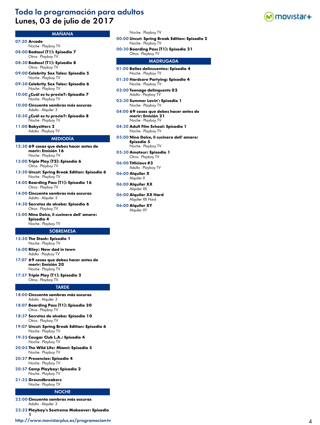# Toda la programación para adultos Lunes, 03 de julio de 2017

# MAÑANA

- 07:30 **Arcade**
- Noche Playboy TV 08:00 **Badass! (T1): Episodio 7** Otros - Playboy TV
- 08:30 **Badass! (T1): Episodio 8** Otros - Playboy TV
- 09:00 **Celebrity Sex Tales: Episodio 5** Noche - Playboy TV
- 09:30 **Celebrity Sex Tales: Episodio 6** Noche - Playboy TV
- 10:00 **¿Cuál es tu precio?: Episodio 7** Noche - Playboy TV
- 10:00 **Cincuenta sombras más oscuras** Adulto - Alquiler 3
- 10:30 **¿Cuál es tu precio?: Episodio 8** Noche - Playboy TV
- 11:00 **Babysitters 2** Adulto - Playboy TV

# MEDIODÍA

- 12:30 **69 cosas que debes hacer antes de morir: Emisión 16** Noche - Playboy TV
- 13:00 **Triple Play (T2): Episodio 6** Otros - Playboy TV
- 13:30 **Uncut: Spring Break Edition: Episodio 6** Noche - Playboy TV
- 14:00 **Boarding Pass (T1): Episodio 16** Otros - Playboy TV
- 14:00 **Cincuenta sombras más oscuras** Adulto - Alquiler 3
- 14:30 **Secretos de alcoba: Episodio 6** Otros - Playboy TV
- 15:00 **Nino Dolce, il cucinero dell' amore: Episodio 4** Noche - Playboy TV

# **SOBREMESA**

- 
- 15:30 **The Stash: Episodio 1** Noche - Playboy TV
- 16:00 **Riley: New dad in town** Adulto - Playboy TV
- 17:07 **69 cosas que debes hacer antes de morir: Emisión 20** Noche - Playboy T
- 17:37 **Triple Play (T1): Episodio 2** Otros - Playboy TV

#### TARDE

- 18:00 **Cincuenta sombras más oscuras** Adulto - Alquiler 3
- 18:07 **Boarding Pass (T1): Episodio 20** Otros - Playboy TV
- 18:37 **Secretos de alcoba: Episodio 10** Otros - Playboy TV
- 19:07 **Uncut: Spring Break Edition: Episodio 6** Noche - Playboy TV
- 19:35 **Cougar Club L.A.: Episodio 4** Noche - Playboy TV
- 20:05 **The Wild Life: Miami: Episodio 5** Noche - Playboy TV
- 20:27 **Presencias: Episodio 4** Noche - Playboy TV
- 20:57 **Camp Playboy: Episodio 2** Noche - Playboy TV
- 21:35 **Groundbreakers** Noche - Playboy TV

#### **NOCHE**

- 22:00 **Cincuenta sombras más oscuras** Adulto - Alquiler 3
- 23:22 **Playboy's Sextreme Makeover: Episodio 1**

<http://www.movistarplus.es/programacion-tv> 4

#### Noche - Playboy TV

- 00:00 **Uncut: Spring Break Edition: Episodio 2** Noche - Playboy TV
- 00:30 **Boarding Pass (T1): Episodio 21** Otros - Playboy TV

- 01:00 **Bellas delincuentes: Episodio 4** Noche - Playboy TV
- 01:30 **Hardcore Partying: Episodio 4** Noche - Playboy TV
- 02:00 **Teenage delinquents 02** Adulto - Playboy TV
- 03:30 **Summer Lovin': Episodio 1** Noche - Playboy TV
- 04:00 **69 cosas que debes hacer antes de morir: Emisión 21** Noche - Playboy TV
- 04:30 **Adult Film School: Episodio 1** Noche - Playboy TV
- 05:00 **Nino Dolce, il cucinero dell' amore: Episodio 5** Noche - Playboy TV
- 05:30 **Amateur: Episodio 1** Otros - Playboy TV
- 06:00 **Titlicious #3** Adulto - Playboy TV
- 06:00 **Alquiler X** Alquiler X
- 06:00 **Alquiler XX** Alquiler XX
- 06:00 **Alquiler XX Hard** Alquiler XX Hard
- 06:00 **Alquiler XY** Alquiler XY

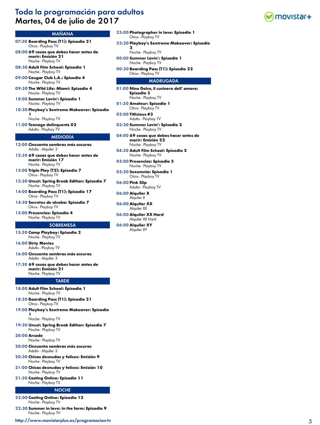# Toda la programación para adultos Martes, 04 de julio de 2017



# MAÑANA

- 07:30 **Boarding Pass (T1): Episodio 21** Otros - Playboy TV
- 08:00 **69 cosas que debes hacer antes de morir: Emisión 21** Noche - Playboy TV
- 08:30 **Adult Film School: Episodio 1** Noche - Playboy TV
- 09:00 **Cougar Club L.A.: Episodio 4** Noche - Playboy TV
- 09:30 **The Wild Life: Miami: Episodio 4** Noche - Playboy TV
- 10:00 **Summer Lovin': Episodio 1** Noche - Playboy TV
- 10:30 **Playboy's Sextreme Makeover: Episodio 1**

Noche - Playboy TV

11:00 **Teenage delinquents 02** Adulto - Playboy TV

#### MEDIODÍA

- 12:00 **Cincuenta sombras más oscuras** Adulto - Alquiler 3
- 12:30 **69 cosas que debes hacer antes de morir: Emisión 17** Noche - Playboy TV
- 13:00 **Triple Play (T2): Episodio 7** Otros - Playboy TV
- 13:30 **Uncut: Spring Break Edition: Episodio 7** Noche - Playboy TV
- 14:00 **Boarding Pass (T1): Episodio 17** Otros - Playboy TV
- 14:30 **Secretos de alcoba: Episodio 7** Otros - Playboy TV
- 15:00 **Presencias: Episodio 4** Noche - Playboy TV

#### **SOBREMESA**

- 15:30 **Camp Playboy: Episodio 2** Noche - Playboy TV
- 16:00 **Dirty Movies** Adulto - Playboy TV
- 16:00 **Cincuenta sombras más oscuras** Adulto - Alquiler 3
- 17:30 **69 cosas que debes hacer antes de morir: Emisión 21** Noche - Playboy TV

# TARDE

- 18:00 **Adult Film School: Episodio 1** Noche - Playboy TV
- 18:30 **Boarding Pass (T1): Episodio 21** Otros - Playboy TV
- 19:00 **Playboy's Sextreme Makeover: Episodio** 
	- **1** Noche - Playboy TV
- 19:30 **Uncut: Spring Break Edition: Episodio 7** Noche - Playboy TV
- 20:00 **Arcade**
- Noche Playboy TV
- 20:00 **Cincuenta sombras más oscuras** Adulto - Alquiler 3
- 20:30 **Chicas desnudas y felices: Emisión 9** Noche - Playboy TV
- 21:00 **Chicas desnudas y felices: Emisión 10** Noche - Playboy TV
- 21:30 **Casting Online: Episodio 11** Noche - Playboy TV

#### NOCHE

- 22:00 **Casting Online: Episodio 12** Noche - Playboy TV
- 22:30 **Summer in love: in the farm: Episodio 9** Noche - Playboy TV
- <http://www.movistarplus.es/programacion-tv> 5
- 23:00 **Photographer in love: Episodio 1** Otros - Playboy TV
- 23:30 **Playboy's Sextreme Makeover: Episodio** 
	- Noche Playboy TV

 $\mathbf{r}$ 

- 00:00 **Summer Lovin': Episodio 1** Noche - Playboy TV
- 00:30 **Boarding Pass (T1): Episodio 22** Otros - Playboy TV

- 01:00 **Nino Dolce, il cucinero dell' amore: Episodio 5** Noche - Playboy TV 01:30 **Amateur: Episodio 1** Otros - Playboy TV
- 02:00 **Titlicious #3** Adulto - Playboy TV
- 03:30 **Summer Lovin': Episodio 2** Noche - Playboy TV
- 04:00 **69 cosas que debes hacer antes de morir: Emisión 22** Noche - Playboy TV
- 04:30 **Adult Film School: Episodio 2** Noche - Playboy TV
- 05:00 **Presencias: Episodio 5** Noche - Playboy TV
- 05:30 **Sexomnia: Episodio 1** Otros - Playboy TV
- 06:00 **Pink Slip** Adulto - Playboy TV 06:00 **Alquiler X**
- Alquiler X
- 06:00 **Alquiler XX** Alquiler XX
- 06:00 **Alquiler XX Hard** Alquiler XX Hard
- 06:00 **Alquiler XY** Alquiler XY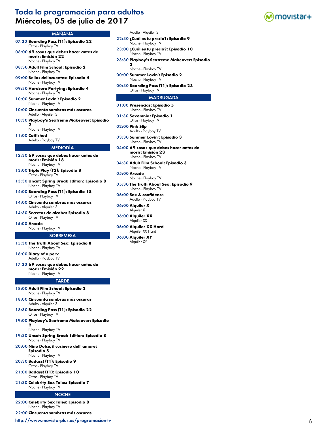# Toda la programación para adultos Miércoles, 05 de julio de 2017



### MAÑANA

- 07:30 **Boarding Pass (T1): Episodio 22** Otros - Playboy TV
- 08:00 **69 cosas que debes hacer antes de morir: Emisión 22** Noche - Playboy TV
- 08:30 **Adult Film School: Episodio 2** Noche - Playboy TV
- 09:00 **Bellas delincuentes: Episodio 4** Noche - Playboy TV
- 09:30 **Hardcore Partying: Episodio 4** Noche - Playboy TV
- 10:00 **Summer Lovin': Episodio 2** Noche - Playboy TV
- 10:00 **Cincuenta sombras más oscuras** Adulto - Alquiler 3
- 10:30 **Playboy's Sextreme Makeover: Episodio 2**

Noche - Playboy TV

11:00 **Catfished** Adulto - Playboy TV

### MEDIODÍA

- 12:30 **69 cosas que debes hacer antes de morir: Emisión 18** Noche - Playboy TV
- 13:00 **Triple Play (T2): Episodio 8** Otros - Playboy TV
- 13:30 **Uncut: Spring Break Edition: Episodio 8** Noche - Playboy TV
- 14:00 **Boarding Pass (T1): Episodio 18** Otros - Playboy TV
- 14:00 **Cincuenta sombras más oscuras** Adulto - Alquiler 3
- 14:30 **Secretos de alcoba: Episodio 8** Otros - Playboy TV
- 15:00 **Arcade**

# Noche - Playboy TV

#### **SOBREMESA**

- 15:30 **The Truth About Sex: Episodio 8** Noche - Playboy TV
- 16:00 **Diary of a perv** Adulto - Playboy TV
- 17:30 **69 cosas que debes hacer antes de morir: Emisión 22** Noche - Playboy TV

### TARDE

- 18:00 **Adult Film School: Episodio 2** Noche - Playboy TV
- 18:00 **Cincuenta sombras más oscuras** Adulto - Alquiler 3
- 18:30 **Boarding Pass (T1): Episodio 22** Otros - Playboy TV
- 19:00 **Playboy's Sextreme Makeover: Episodio**

#### Noche - Playboy TV

 $\mathbf{r}$ 

- 19:30 **Uncut: Spring Break Edition: Episodio 8** Noche - Playboy TV
- 20:00 **Nino Dolce, il cucinero dell' amore: Episodio 5**
- Noche Playboy TV 20:30 **Badass! (T1): Episodio 9**
- Otros Playboy TV 21:00 **Badass! (T1): Episodio 10** Otros - Playboy TV
- 21:30 **Celebrity Sex Tales: Episodio 7** Noche - Playboy TV

#### **NOCHE**

22:00 **Celebrity Sex Tales: Episodio 8** Noche - Playboy TV

22:00 **Cincuenta sombras más oscuras**

<http://www.movistarplus.es/programacion-tv> 6

- Adulto Alquiler 3
- 22:30 **¿Cuál es tu precio?: Episodio 9** Noche - Playboy TV
- 23:00 **¿Cuál es tu precio?: Episodio 10** Noche - Playboy TV
- 23:30 **Playboy's Sextreme Makeover: Episodio 3**
- Noche Playboy TV 00:00 **Summer Lovin': Episodio 2** Noche - Playboy TV
- 00:30 **Boarding Pass (T1): Episodio 23** Otros - Playboy TV

- 01:00 **Presencias: Episodio 5** Noche - Playboy TV
- 01:30 **Sexomnia: Episodio 1** Otros - Playboy TV
- 02:00 **Pink Slip** Adulto - Playboy TV
- 03:30 **Summer Lovin': Episodio 3** Noche - Playboy TV
- 04:00 **69 cosas que debes hacer antes de morir: Emisión 23** Noche - Playboy TV
- 04:30 **Adult Film School: Episodio 3** Noche - Playboy TV
- 05:00 **Arcade** Noche - Playboy TV
- 05:30 **The Truth About Sex: Episodio 9** Noche - Playboy TV
- 06:00 **Sex & confidence** Adulto - Playboy TV
- 06:00 **Alquiler X** Alquiler X
- 06:00 **Alquiler XX** Alquiler XX
- 06:00 **Alquiler XX Hard** Alquiler XX Hard
- 06:00 **Alquiler XY** Alquiler XY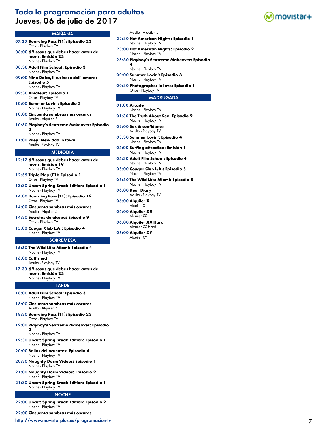# Toda la programación para adultos Jueves, 06 de julio de 2017



### MAÑANA

- 07:30 **Boarding Pass (T1): Episodio 23** Otros - Playboy TV
- 08:00 **69 cosas que debes hacer antes de morir: Emisión 23** Noche - Playboy TV
- 08:30 **Adult Film School: Episodio 3** Noche - Playboy TV
- 09:00 **Nino Dolce, il cucinero dell' amore: Episodio 5** Noche - Playboy TV
- 09:30 **Amateur: Episodio 1** Otros - Playboy TV
- 10:00 **Summer Lovin': Episodio 3** Noche - Playboy TV
- 10:00 **Cincuenta sombras más oscuras** Adulto - Alquiler 5
- 10:30 **Playboy's Sextreme Makeover: Episodio 3**
	- Noche Playboy TV
- 11:00 **Riley: New dad in town** Adulto - Playboy TV

#### MEDIODÍA

- 12:17 **69 cosas que debes hacer antes de morir: Emisión 19** Noche - Playboy TV
- 12:55 **Triple Play (T1): Episodio 1** Otros - Playboy TV
- 13:30 **Uncut: Spring Break Edition: Episodio 1** Noche - Playboy TV
- 14:00 **Boarding Pass (T1): Episodio 19** Otros - Playboy TV
- 14:00 **Cincuenta sombras más oscuras** Adulto - Alquiler 5
- 14:30 **Secretos de alcoba: Episodio 9** Otros - Playboy TV
- 15:00 **Cougar Club L.A.: Episodio 4** Noche - Playboy TV

#### **SOBREMESA**

- 15:30 **The Wild Life: Miami: Episodio 4** Noche - Playboy TV
- 16:00 **Catfished** Adulto - Playboy TV
- 17:30 **69 cosas que debes hacer antes de morir: Emisión 23** Noche - Playboy TV

#### TARDE

- 18:00 **Adult Film School: Episodio 3** Noche - Playboy TV
- 18:00 **Cincuenta sombras más oscuras** Adulto - Alquiler 5
- 18:30 **Boarding Pass (T1): Episodio 23** Otros - Playboy TV
- 19:00 **Playboy's Sextreme Makeover: Episodio 3**

#### Noche - Playboy TV

- 19:30 **Uncut: Spring Break Edition: Episodio 1** Noche - Playboy TV
- 20:00 **Bellas delincuentes: Episodio 4** Noche - Playboy TV
- 20:30 **Naughty Dorm Videos: Episodio 1** Noche - Playboy TV
- 21:00 **Naughty Dorm Videos: Episodio 2** Noche - Playboy TV
- 21:30 **Uncut: Spring Break Edition: Episodio 1** Noche - Playboy TV

#### **NOCHE**

22:00 **Uncut: Spring Break Edition: Episodio 2** Noche - Playboy TV

22:00 **Cincuenta sombras más oscuras**

<http://www.movistarplus.es/programacion-tv> 7

- Adulto Alquiler 5
- 22:30 **Hot American Nights: Episodio 1** Noche - Playboy TV
- 23:00 **Hot American Nights: Episodio 2** Noche - Playboy TV
- 23:30 **Playboy's Sextreme Makeover: Episodio 4**
- Noche Playboy TV 00:00 **Summer Lovin': Episodio 3** Noche - Playboy TV
- 00:30 **Photographer in love: Episodio 1** Otros - Playboy TV

- 01:00 **Arcade** Noche - Playboy TV
- 01:30 **The Truth About Sex: Episodio 9** Noche - Playboy TV
- 02:00 **Sex & confidence** Adulto - Playboy TV
- 03:30 **Summer Lovin': Episodio 4** Noche - Playboy TV
- 04:00 **Surfing attraction: Emisión 1** Noche - Playboy TV
- 04:30 **Adult Film School: Episodio 4** Noche - Playboy TV
- 05:00 **Cougar Club L.A.: Episodio 5** Noche - Playboy TV
- 05:30 **The Wild Life: Miami: Episodio 5** Noche - Playboy TV
- 06:00 **Dear Diary** Adulto - Playboy TV
- 06:00 **Alquiler X** Alquiler X
- 06:00 **Alquiler XX** Alquiler XX
- 06:00 **Alquiler XX Hard** Alquiler XX Hard
- 06:00 **Alquiler XY** Alquiler XY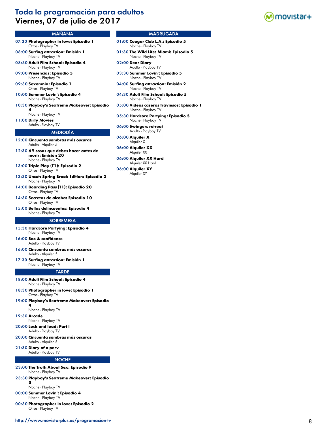# Toda la programación para adultos Viernes, 07 de julio de 2017



# MAÑANA

- 07:30 **Photographer in love: Episodio 1** Otros - Playboy TV
- 08:00 **Surfing attraction: Emisión 1** Noche - Playboy TV
- 08:30 **Adult Film School: Episodio 4** Noche - Playboy TV
- 09:00 **Presencias: Episodio 5** Noche - Playboy TV
- 09:30 **Sexomnia: Episodio 1** Otros - Playboy TV
- 10:00 **Summer Lovin': Episodio 4** Noche - Playboy TV
- 10:30 **Playboy's Sextreme Makeover: Episodio 4**
- Noche Playboy TV
- 11:00 **Dirty Movies** Adulto - Playboy TV

### MEDIODÍA

- 12:00 **Cincuenta sombras más oscuras** Adulto - Alquiler 5
- 12:30 **69 cosas que debes hacer antes de morir: Emisión 20** Noche - Playboy TV
- 13:00 **Triple Play (T1): Episodio 2** Otros - Playboy TV
- 13:30 **Uncut: Spring Break Edition: Episodio 2** Noche - Playboy TV
- 14:00 **Boarding Pass (T1): Episodio 20** Otros - Playboy TV
- 14:30 **Secretos de alcoba: Episodio 10** Otros - Playboy TV
- 15:00 **Bellas delincuentes: Episodio 4** Noche - Playboy TV

#### **SOBREMESA**

- 15:30 **Hardcore Partying: Episodio 4**
- Noche Playboy TV 16:00 **Sex & confidence**
- Adulto Playboy TV
- 16:00 **Cincuenta sombras más oscuras** Adulto - Alquiler 5
- 17:30 **Surfing attraction: Emisión 1** Noche - Playboy TV

#### **TARDE**

- 18:00 **Adult Film School: Episodio 4** Noche - Playboy TV
- 18:30 **Photographer in love: Episodio 1** Otros - Playboy TV
- 19:00 **Playboy's Sextreme Makeover: Episodio**
- **4** Noche - Playboy TV
- 19:30 **Arcade**
- Noche Playboy TV
- 20:00 **Lock and load: Part I** Adulto - Playboy TV
- 20:00 **Cincuenta sombras más oscuras**
- Adulto Alquiler 5 21:30 **Diary of a perv**
- Adulto Playboy TV

### **NOCHE**

- 23:00 **The Truth About Sex: Episodio 9** Noche - Playboy TV
- 23:30 **Playboy's Sextreme Makeover: Episodio 5**

Noche - Playboy TV

- 00:00 **Summer Lovin': Episodio 4** Noche - Playboy TV
- 00:30 **Photographer in love: Episodio 2** Otros - Playboy TV

- 01:00 **Cougar Club L.A.: Episodio 5** Noche - Playboy TV
- 01:30 **The Wild Life: Miami: Episodio 5** Noche - Playboy TV
- 02:00 **Dear Diary** Adulto - Playboy TV
- 03:30 **Summer Lovin': Episodio 5** Noche - Playboy TV
- 04:00 **Surfing attraction: Emisión 2** Noche - Playboy TV
- 04:30 **Adult Film School: Episodio 5** Noche - Playboy TV
- 05:00 **Vídeos caseros traviesos: Episodio 1** Noche - Playboy TV
- 05:30 **Hardcore Partying: Episodio 5** Noche - Playboy TV
- 06:00 **Swingers retreat** Adulto - Playboy TV
- 06:00 **Alquiler X** Alquiler X
- 06:00 **Alquiler XX** Alquiler XX
- 06:00 **Alquiler XX Hard** Alquiler XX Hard
- 06:00 **Alquiler XY** Alquiler XY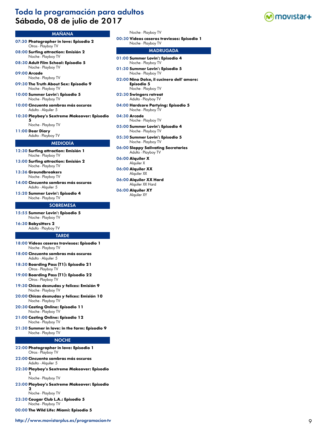# Toda la programación para adultos Sábado, 08 de julio de 2017



# MAÑANA

- 07:30 **Photographer in love: Episodio 2** Otros - Playboy TV
- 08:00 **Surfing attraction: Emisión 2** Noche - Playboy TV
- 08:30 **Adult Film School: Episodio 5** Noche - Playboy TV

09:00 **Arcade**

Noche - Playboy TV 09:30 **The Truth About Sex: Episodio 9**

- Noche Playboy TV
- 10:00 **Summer Lovin': Episodio 5** Noche - Playboy TV
- 10:00 **Cincuenta sombras más oscuras** Adulto - Alquiler 5
- 10:30 **Playboy's Sextreme Makeover: Episodio 5**

Noche - Playboy TV

11:00 **Dear Diary** Adulto - Playboy TV

#### MEDIODÍA

- 12:30 **Surfing attraction: Emisión 1** Noche - Playboy TV
- 13:00 **Surfing attraction: Emisión 2** Noche - Playboy TV
- 13:36 **Groundbreakers** Noche - Playboy TV
- 14:00 **Cincuenta sombras más oscuras** Adulto - Alquiler 5
- 15:20 **Summer Lovin': Episodio 4** Noche - Playboy TV

#### **SOBREMESA**

15:55 **Summer Lovin': Episodio 5** Noche - Playboy TV

16:30 **Babysitters 2** Adulto - Playboy TV

#### TARDE

- 18:00 **Vídeos caseros traviesos: Episodio 1** Noche - Playboy TV
- 18:00 **Cincuenta sombras más oscuras** Adulto - Alquiler 5
- 18:30 **Boarding Pass (T1): Episodio 21** Otros - Playboy TV
- 19:00 **Boarding Pass (T1): Episodio 22** Otros - Playboy TV
- 19:30 **Chicas desnudas y felices: Emisión 9** Noche - Playboy TV
- 20:00 **Chicas desnudas y felices: Emisión 10** Noche - Playboy TV
- 20:30 **Casting Online: Episodio 11** Noche - Playboy TV
- 21:00 **Casting Online: Episodio 12** Noche - Playboy TV
- 21:30 **Summer in love: in the farm: Episodio 9** Noche - Playboy TV

#### **NOCHE**

- 22:00 **Photographer in love: Episodio 1** Otros - Playboy TV
- 22:00 **Cincuenta sombras más oscuras** Adulto - Alquiler 5
- 22:30 **Playboy's Sextreme Makeover: Episodio 1**

#### Noche - Playboy TV

23:00 **Playboy's Sextreme Makeover: Episodio 2**

Noche - Playboy TV

- 23:30 **Cougar Club L.A.: Episodio 5** Noche - Playboy TV
- 00:00 **The Wild Life: Miami: Episodio 5**

Noche - Playboy TV 05:30 **Summer Lovin': Episodio 5** Noche - Playboy TV 06:00 **Sloppy Salivating Secretaries**

Noche - Playboy TV 05:00 **Summer Lovin': Episodio 4**

Noche - Playboy TV

Noche - Playboy TV

**Episodio 5** Noche - Playboy TV 02:30 **Swingers retreat** Adulto - Playboy TV 04:00 **Hardcore Partying: Episodio 5** Noche - Playboy TV

01:00 **Summer Lovin': Episodio 4** Noche - Playboy TV 01:30 **Summer Lovin': Episodio 5** Noche - Playboy TV

00:30 **Vídeos caseros traviesos: Episodio 1**

02:00 **Nino Dolce, il cucinero dell' amore:** 

MADRUGADA

- Adulto Playboy TV
- 06:00 **Alquiler X** Alquiler X

04:30 **Arcade**

- 06:00 **Alquiler XX** Alquiler XX
- 06:00 **Alquiler XX Hard** Alquiler XX Hard
- 06:00 **Alquiler XY** Alquiler XY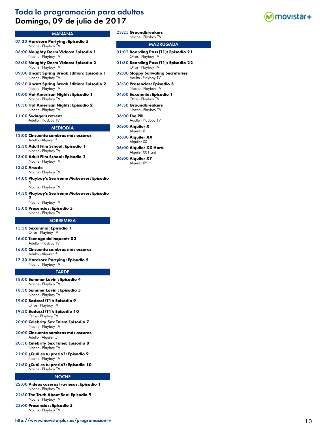# Toda la programación para adultos Domingo, 09 de julio de 2017



# MAÑANA

- 07:30 **Hardcore Partying: Episodio 5** Noche - Playboy TV
- 08:00 **Naughty Dorm Videos: Episodio 1** Noche - Playboy TV
- 08:30 **Naughty Dorm Videos: Episodio 2** Noche - Playboy TV
- 09:00 **Uncut: Spring Break Edition: Episodio 1** Noche - Playboy TV
- 09:30 **Uncut: Spring Break Edition: Episodio 2** Noche - Playboy TV
- 10:00 **Hot American Nights: Episodio 1** Noche - Playboy TV
- 10:30 **Hot American Nights: Episodio 2** Noche - Playboy TV
- 11:00 **Swingers retreat** Adulto - Playboy TV
- 

# MEDIODÍA

- 12:00 **Cincuenta sombras más oscuras** Adulto - Alquiler 5
- 12:30 **Adult Film School: Episodio 1** Noche - Playboy TV
- 13:00 **Adult Film School: Episodio 2** Noche - Playboy TV

13:30 **Arcade**

Noche - Playboy TV 14:00 **Playboy's Sextreme Makeover: Episodio** 

> **1** Noche - Playboy TV

14:30 **Playboy's Sextreme Makeover: Episodio** 

**2** Noche - Playboy TV

15:00 **Presencias: Episodio 5**

Noche - Playboy TV

#### **SOBREMESA**

- 15:30 **Sexomnia: Episodio 1** Otros - Playboy TV
- 16:00 **Teenage delinquents 02** Adulto - Playboy TV
- 16:00 **Cincuenta sombras más oscuras** Adulto - Alquiler 5
- 17:30 **Hardcore Partying: Episodio 5** Noche - Playboy TV

#### **TARDE**

- 18:00 **Summer Lovin': Episodio 4** Noche - Playboy TV
- 18:30 **Summer Lovin': Episodio 5** Noche - Playboy TV
- 19:00 **Badass! (T1): Episodio 9** Otros - Playboy TV
- 19:30 **Badass! (T1): Episodio 10** Otros - Playboy TV
- 20:00 **Celebrity Sex Tales: Episodio 7** Noche - Playboy TV
- 20:00 **Cincuenta sombras más oscuras** Adulto - Alquiler 5
- 20:30 **Celebrity Sex Tales: Episodio 8** Noche - Playboy TV
- 21:00 **¿Cuál es tu precio?: Episodio 9** Noche - Playboy TV
- 21:30 **¿Cuál es tu precio?: Episodio 10** Noche - Playboy TV

#### NOCHE

- 22:00 **Vídeos caseros traviesos: Episodio 1** Noche - Playboy TV
- 22:30 **The Truth About Sex: Episodio 9** Noche - Playboy TV
- 23:00 **Presencias: Episodio 5** Noche - Playboy TV

23:25 **Groundbreakers**

# Noche - Playboy TV

- 01:02 **Boarding Pass (T1): Episodio 21** Otros - Playboy TV
- 01:30 **Boarding Pass (T1): Episodio 22** Otros - Playboy TV
- 02:00 **Sloppy Salivating Secretaries** Adulto - Playboy TV
- 03:30 **Presencias: Episodio 5** Noche - Playboy TV
- 04:00 **Sexomnia: Episodio 1** Otros - Playboy TV
- 04:30 **Groundbreakers** Noche - Playboy TV
- 06:00 **The Pill** Adulto - Playboy TV
- 06:00 **Alquiler X** Alquiler X
- 06:00 **Alquiler XX** Alquiler XX
- 06:00 **Alquiler XX Hard** Alquiler XX Hard
- 06:00 **Alquiler XY** Alquiler XY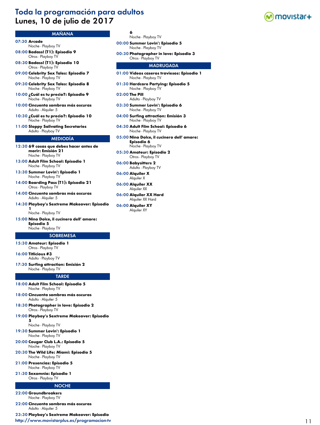# Toda la programación para adultos Lunes, 10 de julio de 2017

# MAÑANA

- 07:30 **Arcade**
- Noche Playboy TV 08:00 **Badass! (T1): Episodio 9** Otros - Playboy TV
- 08:30 **Badass! (T1): Episodio 10** Otros - Playboy TV
- 09:00 **Celebrity Sex Tales: Episodio 7** Noche - Playboy TV
- 09:30 **Celebrity Sex Tales: Episodio 8** Noche - Playboy TV
- 10:00 **¿Cuál es tu precio?: Episodio 9** Noche - Playboy TV
- 10:00 **Cincuenta sombras más oscuras** Adulto - Alquiler 5
- 10:30 **¿Cuál es tu precio?: Episodio 10** Noche - Playboy TV
- 11:00 **Sloppy Salivating Secretaries** Adulto - Playboy TV

#### MEDIODÍA

- 12:30 **69 cosas que debes hacer antes de morir: Emisión 21** Noche - Playboy TV
- 13:00 **Adult Film School: Episodio 1** Noche - Playboy TV
- 13:30 **Summer Lovin': Episodio 1** Noche - Playboy TV
- 14:00 **Boarding Pass (T1): Episodio 21** Otros - Playboy TV
- 14:00 **Cincuenta sombras más oscuras** Adulto - Alquiler 5
- 14:30 **Playboy's Sextreme Makeover: Episodio 1**

Noche - Playboy TV

15:00 **Nino Dolce, il cucinero dell' amore: Episodio 5** Noche - Playboy TV

# **SOBREMESA**

- 15:30 **Amateur: Episodio 1**
- Otros Playboy TV 16:00 **Titlicious #3**
- Adulto Playboy TV
- 17:30 **Surfing attraction: Emisión 2** Noche - Playboy TV

#### **TARDE**

- 18:00 **Adult Film School: Episodio 5** Noche - Playboy TV
- 18:00 **Cincuenta sombras más oscuras** Adulto - Alquiler 5
- 18:30 **Photographer in love: Episodio 2** Otros - Playboy TV
- 19:00 **Playboy's Sextreme Makeover: Episodio 5**

Noche - Playboy TV

- 19:30 **Summer Lovin': Episodio 1** Noche - Playboy TV
- 20:00 **Cougar Club L.A.: Episodio 5** Noche - Playboy TV
- 20:30 **The Wild Life: Miami: Episodio 5** Noche - Playboy TV
- 21:00 **Presencias: Episodio 5** Noche - Playboy TV
- 21:30 **Sexomnia: Episodio 1** Otros - Playboy TV

#### **NOCHE**

22:00 **Groundbreakers** Noche - Playboy TV

22:00 **Cincuenta sombras más oscuras** Adulto - Alquiler 5

23:30 **Playboy's Sextreme Makeover: Episodio**  <http://www.movistarplus.es/programacion-tv> 11

- **6** Noche - Playboy TV
- 00:00 **Summer Lovin': Episodio 5** Noche - Playboy TV
- 00:30 **Photographer in love: Episodio 3** Otros - Playboy TV

- 01:00 **Vídeos caseros traviesos: Episodio 1** Noche - Playboy TV
- 01:30 **Hardcore Partying: Episodio 5** Noche - Playboy TV
- 02:00 **The Pill** Adulto - Playboy TV
- 03:30 **Summer Lovin': Episodio 6** Noche - Playboy TV
- 04:00 **Surfing attraction: Emisión 3** Noche - Playboy TV
- 04:30 **Adult Film School: Episodio 6** Noche - Playboy TV
- 05:00 **Nino Dolce, il cucinero dell' amore: Episodio 6** Noche - Playboy TV
- 05:30 **Amateur: Episodio 2** Otros - Playboy TV
- 06:00 **Babysitters 2** Adulto - Playboy TV
- 06:00 **Alquiler X** Alquiler X
- 06:00 **Alquiler XX** Alquiler XX
- 06:00 **Alquiler XX Hard** Alquiler XX Hard
- 06:00 **Alquiler XY** Alquiler XY

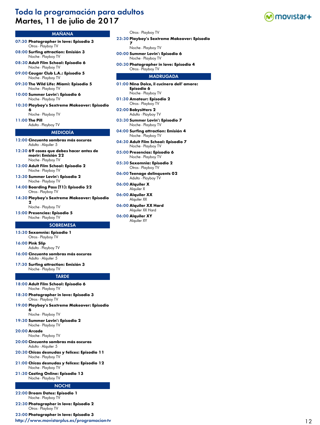# Toda la programación para adultos Martes, 11 de julio de 2017



### MAÑANA

- 07:30 **Photographer in love: Episodio 3** Otros - Playboy TV
- 08:00 **Surfing attraction: Emisión 3** Noche - Playboy TV
- 08:30 **Adult Film School: Episodio 6** Noche - Playboy TV
- 09:00 **Cougar Club L.A.: Episodio 5** Noche - Playboy TV
- 09:30 **The Wild Life: Miami: Episodio 5** Noche - Playboy TV
- 10:00 **Summer Lovin': Episodio 6** Noche - Playboy TV
- 10:30 **Playboy's Sextreme Makeover: Episodio 6**

Noche - Playboy TV

11:00 **The Pill**

### Adulto - Playboy TV MEDIODÍA

- 12:00 **Cincuenta sombras más oscuras**
- Adulto Alquiler 5
- 12:30 **69 cosas que debes hacer antes de morir: Emisión 22** Noche - Playboy TV
- 13:00 **Adult Film School: Episodio 2** Noche - Playboy TV
- 13:30 **Summer Lovin': Episodio 2** Noche - Playboy TV
- 14:00 **Boarding Pass (T1): Episodio 22** Otros - Playboy TV
- 14:30 **Playboy's Sextreme Makeover: Episodio**

**2** Noche - Playboy TV

15:00 **Presencias: Episodio 5** Noche - Playboy TV

#### **SOBREMESA**

- 15:30 **Sexomnia: Episodio 1** Otros - Playboy TV
- 16:00 **Pink Slip**
- Adulto Playboy TV
- 16:00 **Cincuenta sombras más oscuras** Adulto - Alquiler 5
- 17:30 **Surfing attraction: Emisión 3** Noche - Playboy TV

#### **TARDE**

- 18:00 **Adult Film School: Episodio 6** Noche - Playboy TV
- 18:30 **Photographer in love: Episodio 3** Otros - Playboy TV
- 19:00 **Playboy's Sextreme Makeover: Episodio 6**

Noche - Playboy TV

19:30 **Summer Lovin': Episodio 2** Noche - Playboy TV

20:00 **Arcade**

- Noche Playboy TV
- 20:00 **Cincuenta sombras más oscuras** Adulto - Alquiler 5
- 20:30 **Chicas desnudas y felices: Episodio 11** Noche - Playboy TV
- 21:00 **Chicas desnudas y felices: Episodio 12** Noche - Playboy TV
- 21:30 **Casting Online: Episodio 13** Noche - Playboy TV

#### **NOCHE**

- 22:00 **Dream Dates: Episodio 1** Noche - Playboy TV
- 22:30 **Photographer in love: Episodio 2** Otros - Playboy TV

23:00 **Photographer in love: Episodio 3**

<http://www.movistarplus.es/programacion-tv> 12

- Otros Playboy TV
- 23:30 **Playboy's Sextreme Makeover: Episodio** 
	- **7** Noche - Playboy TV
- 00:00 **Summer Lovin': Episodio 6** Noche - Playboy TV
- 00:30 **Photographer in love: Episodio 4** Otros - Playboy TV

- 01:00 **Nino Dolce, il cucinero dell' amore: Episodio 6** Noche - Playboy TV
- 01:30 **Amateur: Episodio 2** Otros - Playboy TV
- 02:00 **Babysitters 2** Adulto - Playboy TV
- 03:30 **Summer Lovin': Episodio 7** Noche - Playboy TV
- 04:00 **Surfing attraction: Emisión 4** Noche - Playboy TV
- 04:30 **Adult Film School: Episodio 7** Noche - Playboy TV
- 05:00 **Presencias: Episodio 6** Noche - Playboy TV
- 05:30 **Sexomnia: Episodio 2** Otros - Playboy TV
- 06:00 **Teenage delinquents 02** Adulto - Playboy TV
- 06:00 **Alquiler X** Alquiler X
- 06:00 **Alquiler XX** Alquiler XX
- 06:00 **Alquiler XX Hard** Alquiler XX Hard
- 06:00 **Alquiler XY** Alquiler XY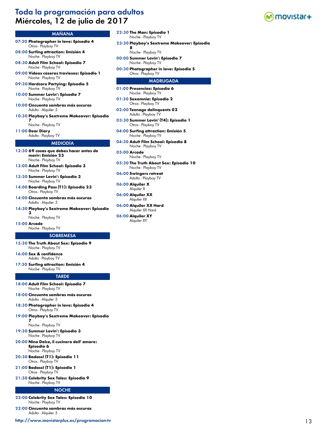# Toda la programación para adultos Miércoles, 12 de julio de 2017



### MAÑANA

- 07:30 **Photographer in love: Episodio 4** Otros - Playboy TV
- 08:00 **Surfing attraction: Emisión 4** Noche - Playboy TV
- 08:30 **Adult Film School: Episodio 7** Noche - Playboy TV
- 09:00 **Vídeos caseros traviesos: Episodio 1** Noche - Playboy TV
- 09:30 **Hardcore Partying: Episodio 5** Noche - Playboy TV
- 10:00 **Summer Lovin': Episodio 7** Noche - Playboy TV
- 10:00 **Cincuenta sombras más oscuras** Adulto - Alquiler 5
- 10:30 **Playboy's Sextreme Makeover: Episodio 7**
	- Noche Playboy TV
- 11:00 **Dear Diary** Adulto - Playboy TV

### MEDIODÍA

- 12:30 **69 cosas que debes hacer antes de morir: Emisión 23** Noche - Playboy TV
- 13:00 **Adult Film School: Episodio 3** Noche - Playboy TV
- 13:30 **Summer Lovin': Episodio 3** Noche - Playboy TV
- 14:00 **Boarding Pass (T1): Episodio 23** Otros - Playboy TV
- 14:00 **Cincuenta sombras más oscuras** Adulto - Alquiler 5
- 14:30 **Playboy's Sextreme Makeover: Episodio 3**

Noche - Playboy TV

15:00 **Arcade** Noche - Playboy TV

#### **SOBREMESA**

- 15:30 **The Truth About Sex: Episodio 9** Noche - Playboy TV
- 16:00 **Sex & confidence** Adulto - Playboy TV
- 17:30 **Surfing attraction: Emisión 4** Noche - Playboy TV

#### **TARDE**

- 18:00 **Adult Film School: Episodio 7** Noche - Playboy TV
- 18:00 **Cincuenta sombras más oscuras** Adulto - Alquiler 5
- 18:30 **Photographer in love: Episodio 4** Otros - Playboy TV
- 19:00 **Playboy's Sextreme Makeover: Episodio 7**

Noche - Playboy TV

- 19:30 **Summer Lovin': Episodio 3** Noche - Playboy TV
- 20:00 **Nino Dolce, il cucinero dell' amore: Episodio 6**
	- Noche Playboy TV
- 20:30 **Badass! (T1): Episodio 11** Otros - Playboy TV
- 21:00 **Badass! (T1): Episodio 1** Otros - Playboy TV
- 21:30 **Celebrity Sex Tales: Episodio 9** Noche - Playboy TV

#### NOCHE

- 22:00 **Celebrity Sex Tales: Episodio 10** Noche - Playboy TV
- 22:00 **Cincuenta sombras más oscuras**

Adulto - Alquiler 5

<http://www.movistarplus.es/programacion-tv> 13

- 22:30 **The Man: Episodio 1** Noche - Playboy TV
- 23:30 **Playboy's Sextreme Makeover: Episodio** 
	- **8** Noche - Playboy TV
- 00:00 **Summer Lovin': Episodio 7** Noche - Playboy TV
- 00:30 **Photographer in love: Episodio 5** Otros - Playboy TV

- 01:00 **Presencias: Episodio 6** Noche - Playboy TV
- 01:30 **Sexomnia: Episodio 2** Otros - Playboy TV
- 02:00 **Teenage delinquents 02** Adulto - Playboy TV
- 03:30 **Summer Lovin' (T4): Episodio 1** Otros - Playboy TV
- 04:00 **Surfing attraction: Emisión 5** Noche - Playboy TV
- 04:30 **Adult Film School: Episodio 8** Noche - Playboy TV
- 05:00 **Arcade** Noche - Playboy TV
- 05:30 **The Truth About Sex: Episodio 10** Noche - Playboy TV
- 06:00 **Swingers retreat** Adulto - Playboy TV
- 06:00 **Alquiler X** Alquiler X
- 06:00 **Alquiler XX** Alquiler XX
- 06:00 **Alquiler XX Hard** Alquiler XX Hard
- 06:00 **Alquiler XY** Alquiler XY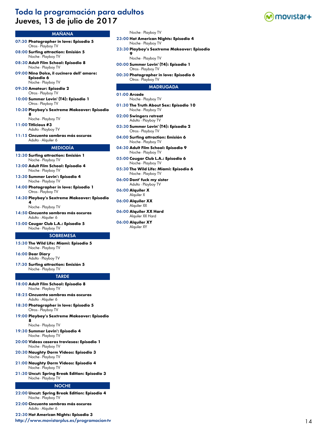# Toda la programación para adultos Jueves, 13 de julio de 2017



#### MAÑANA

- 07:30 **Photographer in love: Episodio 5** Otros - Playboy TV
- 08:00 **Surfing attraction: Emisión 5** Noche - Playboy TV
- 08:30 **Adult Film School: Episodio 8** Noche - Playboy TV
- 09:00 **Nino Dolce, il cucinero dell' amore: Episodio 6** Noche - Playboy TV
- 09:30 **Amateur: Episodio 2** Otros - Playboy TV
- 10:00 **Summer Lovin' (T4): Episodio 1** Otros - Playboy TV
- 10:30 **Playboy's Sextreme Makeover: Episodio 8**

Noche - Playboy TV

11:00 **Titlicious #3** Adulto - Playboy TV

11:15 **Cincuenta sombras más oscuras** Adulto - Alquiler 6

#### MEDIODÍA

- 12:30 **Surfing attraction: Emisión 1** Noche - Playboy TV
- 13:00 **Adult Film School: Episodio 4** Noche - Playboy TV
- 13:30 **Summer Lovin': Episodio 4** Noche - Playboy TV
- 14:00 **Photographer in love: Episodio 1** Otros - Playboy TV
- 14:30 **Playboy's Sextreme Makeover: Episodio 4**

Noche - Playboy TV

- 14:50 **Cincuenta sombras más oscuras** Adulto - Alquiler 6
- 15:00 **Cougar Club L.A.: Episodio 5** Noche - Playboy TV

#### **SOBREMESA**

- 15:30 **The Wild Life: Miami: Episodio 5** Noche - Playboy TV
- 16:00 **Dear Diary** Adulto - Playboy TV
- 17:30 **Surfing attraction: Emisión 5** Noche - Playboy TV

#### **TARDE**

- 18:00 **Adult Film School: Episodio 8** Noche - Playboy TV
- 18:25 **Cincuenta sombras más oscuras** Adulto - Alquiler 6
- 18:30 **Photographer in love: Episodio 5** Otros - Playboy TV
- 19:00 **Playboy's Sextreme Makeover: Episodio 8**

### Noche - Playboy TV

- 19:30 **Summer Lovin': Episodio 4** Noche - Playboy TV
- 20:00 **Vídeos caseros traviesos: Episodio 1** Noche - Playboy TV
- 20:30 **Naughty Dorm Videos: Episodio 3** Noche - Playboy TV
- 21:00 **Naughty Dorm Videos: Episodio 4** Noche - Playboy TV
- 21:30 **Uncut: Spring Break Edition: Episodio 3** Noche - Playboy TV

#### **NOCHE**

- 22:00 **Uncut: Spring Break Edition: Episodio 4** Noche - Playboy TV
- 22:00 **Cincuenta sombras más oscuras** Adulto - Alquiler 6

22:30 **Hot American Nights: Episodio 3**

<http://www.movistarplus.es/programacion-tv> 14

- Noche Playboy TV
- 23:00 **Hot American Nights: Episodio 4** Noche - Playboy TV
- 23:30 **Playboy's Sextreme Makeover: Episodio 9**
	- Noche Playboy TV
- 00:00 **Summer Lovin' (T4): Episodio 1** Otros - Playboy TV
- 00:30 **Photographer in love: Episodio 6** Otros - Playboy TV

- 01:00 **Arcade** Noche - Playboy TV
- 01:30 **The Truth About Sex: Episodio 10** Noche - Playboy TV
- 02:00 **Swingers retreat** Adulto - Playboy TV
- 03:30 **Summer Lovin' (T4): Episodio 2** Otros - Playboy TV
- 04:00 **Surfing attraction: Emisión 6** Noche - Playboy TV
- 04:30 **Adult Film School: Episodio 9** Noche - Playboy TV
- 05:00 **Cougar Club L.A.: Episodio 6** Noche - Playboy TV
- 05:30 **The Wild Life: Miami: Episodio 6** Noche - Playboy TV
- 06:00 **Dont' fuck my sister** Adulto - Playboy TV
- 06:00 **Alquiler X** Alquiler X
- 06:00 **Alquiler XX** Alquiler XX
- 06:00 **Alquiler XX Hard** Alquiler XX Hard
- 06:00 **Alquiler XY** Alquiler XY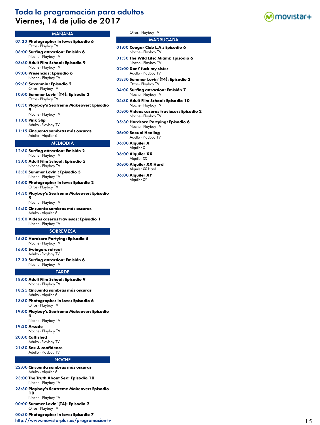# Toda la programación para adultos Viernes, 14 de julio de 2017



# MAÑANA

- 07:30 **Photographer in love: Episodio 6** Otros - Playboy TV
- 08:00 **Surfing attraction: Emisión 6** Noche - Playboy TV
- 08:30 **Adult Film School: Episodio 9** Noche - Playboy TV
- 09:00 **Presencias: Episodio 6** Noche - Playboy TV
- 09:30 **Sexomnia: Episodio 2** Otros - Playboy TV
- 10:00 **Summer Lovin' (T4): Episodio 2** Otros - Playboy TV
- 10:30 **Playboy's Sextreme Makeover: Episodio 9**
- Noche Playboy TV 11:00 **Pink Slip**

Adulto - Playboy TV

11:15 **Cincuenta sombras más oscuras** Adulto - Alquiler 6

#### MEDIODÍA

- 12:30 **Surfing attraction: Emisión 2** Noche - Playboy TV
- 13:00 **Adult Film School: Episodio 5** Noche - Playboy TV
- 13:30 **Summer Lovin': Episodio 5** Noche - Playboy TV
- 14:00 **Photographer in love: Episodio 2** Otros - Playboy TV
- 14:30 **Playboy's Sextreme Makeover: Episodio**

**5** Noche - Playboy TV

- 14:50 **Cincuenta sombras más oscuras** Adulto - Alquiler 6
- 15:00 **Vídeos caseros traviesos: Episodio 1** Noche - Playboy TV

#### **SOBREMESA**

- 15:30 **Hardcore Partying: Episodio 5** Noche - Playboy TV
- 16:00 **Swingers retreat** Adulto - Playboy TV
- 17:30 **Surfing attraction: Emisión 6** Noche - Playboy TV

#### **TARDE**

- 18:00 **Adult Film School: Episodio 9** Noche - Playboy TV
- 18:25 **Cincuenta sombras más oscuras** Adulto - Alquiler 6
- 18:30 **Photographer in love: Episodio 6** Otros - Playboy TV
- 19:00 **Playboy's Sextreme Makeover: Episodio**

**9** Noche - Playboy TV

- 19:30 **Arcade**
- Noche Playboy TV
- 20:00 **Catfished**
- Adulto Playboy TV
- 21:30 **Sex & confidence** Adulto - Playboy TV

#### **NOCHE**

- 22:00 **Cincuenta sombras más oscuras** Adulto - Alquiler 6
- 23:00 **The Truth About Sex: Episodio 10** Noche - Playboy TV
- 23:30 **Playboy's Sextreme Makeover: Episodio 10**
- Noche Playboy TV 00:00 **Summer Lovin' (T4): Episodio 2**
	- Otros Playboy TV
- 00:30 **Photographer in love: Episodio 7**

<http://www.movistarplus.es/programacion-tv> 15 and 15 and 15 and 15 and 15 and 15 and 15 and 15 and 15 and 15 and 15 and 15 and 15 and 15 and 15 and 15 and 15 and 15 and 16 and 16 and 16 and 16 and 16 and 16 and 16 and 16 a

### Otros - Playboy TV

- 01:00 **Cougar Club L.A.: Episodio 6** Noche - Playboy TV
- 01:30 **The Wild Life: Miami: Episodio 6** Noche - Playboy TV
- 02:00 **Dont' fuck my sister** Adulto - Playboy TV
- 03:30 **Summer Lovin' (T4): Episodio 3** Otros - Playboy TV
- 04:00 **Surfing attraction: Emisión 7** Noche - Playboy TV
- 04:30 **Adult Film School: Episodio 10** Noche - Playboy TV
- 05:00 **Vídeos caseros traviesos: Episodio 2** Noche - Playboy TV
- 05:30 **Hardcore Partying: Episodio 6** Noche - Playboy TV
- 06:00 **Sexual Healing** Adulto - Playboy TV
- 06:00 **Alquiler X** Alquiler X
- 06:00 **Alquiler XX** Alquiler XX
- 06:00 **Alquiler XX Hard** Alquiler XX Hard
- 06:00 **Alquiler XY** Alquiler XY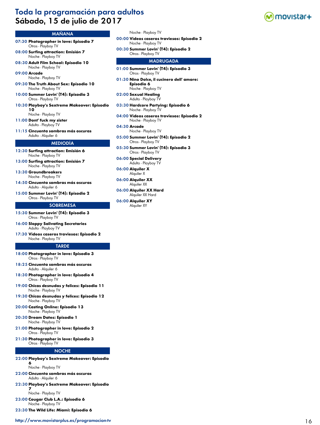# Toda la programación para adultos Sábado, 15 de julio de 2017



# MAÑANA

- 07:30 **Photographer in love: Episodio 7** Otros - Playboy TV
- 08:00 **Surfing attraction: Emisión 7** Noche - Playboy TV
- 08:30 **Adult Film School: Episodio 10** Noche - Playboy TV

09:00 **Arcade** Noche - Playboy TV

- 09:30 **The Truth About Sex: Episodio 10** Noche - Playboy TV
- 10:00 **Summer Lovin' (T4): Episodio 3** Otros - Playboy TV
- 10:30 **Playboy's Sextreme Makeover: Episodio 10**
- Noche Playboy TV 11:00 **Dont' fuck my sister**
- Adulto Playboy TV
- 11:15 **Cincuenta sombras más oscuras** Adulto - Alquiler 6

### MEDIODÍA

- 12:30 **Surfing attraction: Emisión 6** Noche - Playboy TV
- 13:00 **Surfing attraction: Emisión 7** Noche - Playboy TV
- 13:30 **Groundbreakers** Noche - Playboy TV
- 14:50 **Cincuenta sombras más oscuras** Adulto - Alquiler 6
- 15:00 **Summer Lovin' (T4): Episodio 2** Otros - Playboy TV

#### **SOBREMESA**

- 15:30 **Summer Lovin' (T4): Episodio 3** Otros - Playboy TV
- 16:00 **Sloppy Salivating Secretaries** Adulto - Playboy TV
- 17:30 **Vídeos caseros traviesos: Episodio 2** Noche - Playboy TV

#### TARDE

- 18:00 **Photographer in love: Episodio 3** Otros - Playboy TV
- 18:25 **Cincuenta sombras más oscuras** Adulto - Alquiler 6
- 18:30 **Photographer in love: Episodio 4** Otros - Playboy TV
- 19:00 **Chicas desnudas y felices: Episodio 11** Noche - Playboy TV
- 19:30 **Chicas desnudas y felices: Episodio 12** Noche - Playboy TV
- 20:00 **Casting Online: Episodio 13** Noche - Playboy TV
- 20:30 **Dream Dates: Episodio 1** Noche - Playboy TV
- 21:00 **Photographer in love: Episodio 2** Otros - Playboy TV
- 21:30 **Photographer in love: Episodio 3** Otros - Playboy TV

#### NOCHE

22:00 **Playboy's Sextreme Makeover: Episodio 6**

#### Noche - Playboy TV

- 22:00 **Cincuenta sombras más oscuras** Adulto - Alquiler 6
- 22:30 **Playboy's Sextreme Makeover: Episodio 7**

Noche - Playboy TV

23:00 **Cougar Club L.A.: Episodio 6** Noche - Playboy TV

23:30 **The Wild Life: Miami: Episodio 6**

#### Noche - Playboy TV

- 00:00 **Vídeos caseros traviesos: Episodio 2** Noche - Playboy TV
- 00:30 **Summer Lovin' (T4): Episodio 2** Otros - Playboy TV

- 01:00 **Summer Lovin' (T4): Episodio 3** Otros - Playboy TV
- 01:30 **Nino Dolce, il cucinero dell' amore: Episodio 6** Noche - Playboy TV
- 02:00 **Sexual Healing** Adulto - Playboy TV
- 03:30 **Hardcore Partying: Episodio 6** Noche - Playboy TV
- 04:00 **Vídeos caseros traviesos: Episodio 2** Noche - Playboy TV
- 04:30 **Arcade** Noche - Playboy TV
- 05:00 **Summer Lovin' (T4): Episodio 2** Otros - Playboy TV
- 05:30 **Summer Lovin' (T4): Episodio 3** Otros - Playboy TV
- 06:00 **Special Delivery** Adulto - Playboy TV
- 06:00 **Alquiler X** Alquiler X
- 06:00 **Alquiler XX** Alquiler XX
- 06:00 **Alquiler XX Hard** Alquiler XX Hard
- 06:00 **Alquiler XY** Alquiler XY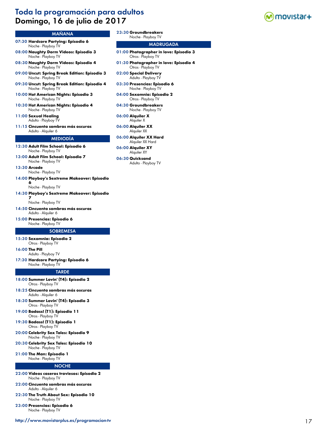# Toda la programación para adultos Domingo, 16 de julio de 2017



- 07:30 **Hardcore Partying: Episodio 6** Noche - Playboy TV
- 08:00 **Naughty Dorm Videos: Episodio 3** Noche - Playboy TV
- 08:30 **Naughty Dorm Videos: Episodio 4** Noche - Playboy TV
- 09:00 **Uncut: Spring Break Edition: Episodio 3** Noche - Playboy TV
- 09:30 **Uncut: Spring Break Edition: Episodio 4** Noche - Playboy TV
- 10:00 **Hot American Nights: Episodio 3** Noche - Playboy TV
- 10:30 **Hot American Nights: Episodio 4** Noche - Playboy TV
- 11:00 **Sexual Healing** Adulto - Playboy TV
- 11:15 **Cincuenta sombras más oscuras**
- Adulto Alquiler 6

#### MEDIODÍA

- 12:30 **Adult Film School: Episodio 6** Noche - Playboy TV
- 13:00 **Adult Film School: Episodio 7** Noche - Playboy TV
- 13:30 **Arcade**
- Noche Playboy TV 14:00 **Playboy's Sextreme Makeover: Episodio**

**6** Noche - Playboy TV

14:30 **Playboy's Sextreme Makeover: Episodio** 

**7** Noche - Playboy TV

- 14:50 **Cincuenta sombras más oscuras** Adulto - Alquiler 6
- 15:00 **Presencias: Episodio 6** Noche - Playboy TV

#### **SOBREMESA**

15:30 **Sexomnia: Episodio 2** Otros - Playboy TV

16:00 **The Pill**

- Adulto Playboy TV
- 17:30 **Hardcore Partying: Episodio 6** Noche - Playboy TV

#### **TARDE**

- 18:00 **Summer Lovin' (T4): Episodio 2** Otros - Playboy TV
- 18:25 **Cincuenta sombras más oscuras** Adulto - Alquiler 6
- 18:30 **Summer Lovin' (T4): Episodio 3** Otros - Playboy TV
- 19:00 **Badass! (T1): Episodio 11** Otros - Playboy TV
- 19:30 **Badass! (T1): Episodio 1** Otros - Playboy TV
- 20:00 **Celebrity Sex Tales: Episodio 9** Noche - Playboy TV
- 20:30 **Celebrity Sex Tales: Episodio 10** Noche - Playboy TV
- 21:00 **The Man: Episodio 1** Noche - Playboy TV

#### NOCHE

- 22:00 **Vídeos caseros traviesos: Episodio 2** Noche - Playboy TV
- 22:00 **Cincuenta sombras más oscuras** Adulto - Alquiler 6
- 22:30 **The Truth About Sex: Episodio 10** Noche - Playboy TV
- 23:00 **Presencias: Episodio 6** Noche - Playboy TV
- <http://www.movistarplus.es/programacion-tv> 17

23:30 **Groundbreakers**

### Noche - Playboy TV

- 01:00 **Photographer in love: Episodio 3** Otros - Playboy TV
- 01:30 **Photographer in love: Episodio 4** Otros - Playboy TV
- 02:00 **Special Delivery** Adulto - Playboy TV
- 03:30 **Presencias: Episodio 6** Noche - Playboy TV
- 04:00 **Sexomnia: Episodio 2** Otros - Playboy TV
- 04:30 **Groundbreakers** Noche - Playboy TV
- 06:00 **Alquiler X** Alquiler X
- 06:00 **Alquiler XX** Alquiler XX
- 06:00 **Alquiler XX Hard** Alquiler XX Hard
- 06:00 **Alquiler XY** Alquiler XY
- 06:30 **Quicksand** Adulto - Playboy TV

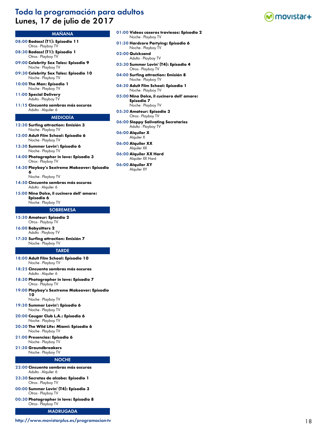# Toda la programación para adultos Lunes, 17 de julio de 2017



# MAÑANA

- 08:00 **Badass! (T1): Episodio 11** Otros - Playboy TV
- 08:30 **Badass! (T1): Episodio 1** Otros - Playboy TV
- 09:00 **Celebrity Sex Tales: Episodio 9** Noche - Playboy TV
- 09:30 **Celebrity Sex Tales: Episodio 10** Noche - Playboy TV
- 10:00 **The Man: Episodio 1** Noche - Playboy TV
- 11:00 **Special Delivery** Adulto - Playboy TV
- 11:15 **Cincuenta sombras más oscuras** Adulto - Alquiler 6

#### MEDIODÍA

- 12:30 **Surfing attraction: Emisión 3** Noche - Playboy TV
- 13:00 **Adult Film School: Episodio 6** Noche - Playboy TV
- 13:30 **Summer Lovin': Episodio 6** Noche - Playboy TV
- 14:00 **Photographer in love: Episodio 3** Otros - Playboy TV
- 14:30 **Playboy's Sextreme Makeover: Episodio 6**

Noche - Playboy TV

- 14:50 **Cincuenta sombras más oscuras** Adulto - Alquiler 6
- 15:00 **Nino Dolce, il cucinero dell' amore: Episodio 6** Noche - Playboy TV

# **SOBREMESA**

- 15:30 **Amateur: Episodio 2** Otros - Playboy TV
- 16:00 **Babysitters 2** Adulto - Playboy TV
- 17:30 **Surfing attraction: Emisión 7** Noche - Playboy TV

#### **TARDE**

- 18:00 **Adult Film School: Episodio 10** Noche - Playboy TV
- 18:25 **Cincuenta sombras más oscuras** Adulto - Alquiler 6
- 18:30 **Photographer in love: Episodio 7** Otros - Playboy TV
- 19:00 **Playboy's Sextreme Makeover: Episodio 10** Noche - Playboy TV
- 19:30 **Summer Lovin': Episodio 6** Noche - Playboy TV
- 20:00 **Cougar Club L.A.: Episodio 6** Noche - Playboy TV
- 20:30 **The Wild Life: Miami: Episodio 6** Noche - Playboy TV
- 21:00 **Presencias: Episodio 6** Noche - Playboy TV
- 21:30 **Groundbreakers**

# Noche - Playboy TV

# **NOCHE**

- 22:00 **Cincuenta sombras más oscuras** Adulto - Alquiler 6
- 23:30 **Secretos de alcoba: Episodio 1** Otros - Playboy TV
- 00:00 **Summer Lovin' (T4): Episodio 3** Otros - Playboy TV
- 00:30 **Photographer in love: Episodio 8** Otros - Playboy TV

### MADRUGADA

### <http://www.movistarplus.es/programacion-tv> 18

- 01:00 **Vídeos caseros traviesos: Episodio 2** Noche - Playboy TV
- 01:30 **Hardcore Partying: Episodio 6** Noche - Playboy TV
- 02:00 **Quicksand** Adulto - Playboy TV
- 03:30 **Summer Lovin' (T4): Episodio 4** Otros - Playboy TV
- 04:00 **Surfing attraction: Emisión 8** Noche - Playboy TV
- 04:30 **Adult Film School: Episodio 1** Noche - Playboy TV
- 05:00 **Nino Dolce, il cucinero dell' amore: Episodio 7** Noche - Playboy TV
- 05:30 **Amateur: Episodio 3** Otros - Playboy TV
- 06:00 **Sloppy Salivating Secretaries** Adulto - Playboy TV
- 06:00 **Alquiler X** Alquiler X
- 06:00 **Alquiler XX** Alquiler XX
- 06:00 **Alquiler XX Hard** Alquiler XX Hard
- 06:00 **Alquiler XY** Alquiler XY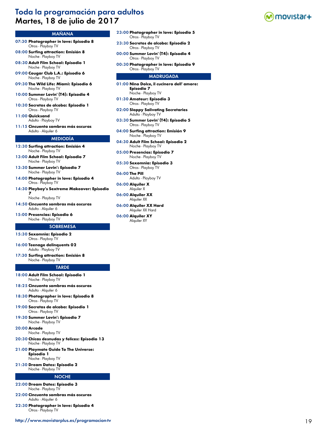# Toda la programación para adultos Martes, 18 de julio de 2017



# MAÑANA

- 07:30 **Photographer in love: Episodio 8** Otros - Playboy TV
- 08:00 **Surfing attraction: Emisión 8** Noche - Playboy TV
- 08:30 **Adult Film School: Episodio 1** Noche - Playboy TV
- 09:00 **Cougar Club L.A.: Episodio 6** Noche - Playboy TV
- 09:30 **The Wild Life: Miami: Episodio 6** Noche - Playboy TV
- 10:00 **Summer Lovin' (T4): Episodio 4** Otros - Playboy TV
- 10:30 **Secretos de alcoba: Episodio 1** Otros - Playboy TV

11:00 **Quicksand** Adulto - Playboy TV

- 
- 11:15 **Cincuenta sombras más oscuras** Adulto - Alquiler 6

#### MEDIODÍA

12:30 **Surfing attraction: Emisión 4** Noche - Playboy TV

- 13:00 **Adult Film School: Episodio 7** Noche - Playboy TV
- 13:30 **Summer Lovin': Episodio 7** Noche - Playboy TV
- 14:00 **Photographer in love: Episodio 4** Otros - Playboy TV
- 14:30 **Playboy's Sextreme Makeover: Episodio 7**

Noche - Playboy TV

14:50 **Cincuenta sombras más oscuras** Adulto - Alquiler 6

15:00 **Presencias: Episodio 6** Noche - Playboy TV

#### **SOBREMESA**

15:30 **Sexomnia: Episodio 2** Otros - Playboy TV

16:00 **Teenage delinquents 02** Adulto - Playboy TV

17:30 **Surfing attraction: Emisión 8** Noche - Playboy TV

#### **TARDE**

- 18:00 **Adult Film School: Episodio 1** Noche - Playboy TV
- 18:25 **Cincuenta sombras más oscuras** Adulto - Alquiler 6
- 18:30 **Photographer in love: Episodio 8** Otros - Playboy TV
- 19:00 **Secretos de alcoba: Episodio 1** Otros - Playboy TV
- 19:30 **Summer Lovin': Episodio 7** Noche - Playboy TV

20:00 **Arcade**

Noche - Playboy TV

- 20:30 **Chicas desnudas y felices: Episodio 13** Noche - Playboy TV
- 21:00 **Playmate Guide To The Universe: Episodio 1**

Noche - Playboy TV

21:30 **Dream Dates: Episodio 2** Noche - Playboy TV

#### **NOCHE**

- 22:00 **Dream Dates: Episodio 3** Noche - Playboy TV
- 22:00 **Cincuenta sombras más oscuras** Adulto - Alquiler 6
- 22:30 **Photographer in love: Episodio 4** Otros - Playboy TV
- 23:00 **Photographer in love: Episodio 5** Otros - Playboy TV
- 23:30 **Secretos de alcoba: Episodio 2** Otros - Playboy TV
- 00:00 **Summer Lovin' (T4): Episodio 4** Otros - Playboy TV
- 00:30 **Photographer in love: Episodio 9** Otros - Playboy TV

- 01:00 **Nino Dolce, il cucinero dell' amore: Episodio 7** Noche - Playboy TV
- 01:30 **Amateur: Episodio 3** Otros - Playboy TV
- 02:00 **Sloppy Salivating Secretaries** Adulto - Playboy TV
- 03:30 **Summer Lovin' (T4): Episodio 5** Otros - Playboy TV
- 04:00 **Surfing attraction: Emisión 9** Noche - Playboy TV
- 04:30 **Adult Film School: Episodio 2** Noche - Playboy TV
- 05:00 **Presencias: Episodio 7** Noche - Playboy TV
- 05:30 **Sexomnia: Episodio 3** Otros - Playboy TV
- 06:00 **The Pill** Adulto - Playboy TV
- 06:00 **Alquiler X** Alquiler X
- 06:00 **Alquiler XX** Alquiler XX
- 06:00 **Alquiler XX Hard** Alquiler XX Hard
- 06:00 **Alquiler XY** Alquiler XY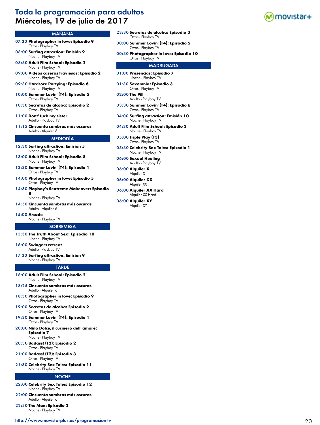# Toda la programación para adultos Miércoles, 19 de julio de 2017

### MAÑANA

- 07:30 **Photographer in love: Episodio 9** Otros - Playboy TV
- 08:00 **Surfing attraction: Emisión 9** Noche - Playboy TV
- 08:30 **Adult Film School: Episodio 2** Noche - Playboy TV
- 09:00 **Vídeos caseros traviesos: Episodio 2** Noche - Playboy TV
- 09:30 **Hardcore Partying: Episodio 6** Noche - Playboy TV
- 10:00 **Summer Lovin' (T4): Episodio 5** Otros - Playboy TV
- 10:30 **Secretos de alcoba: Episodio 2** Otros - Playboy TV
- 11:00 **Dont' fuck my sister** Adulto - Playboy TV
- 11:15 **Cincuenta sombras más oscuras** Adulto - Alquiler 6

#### MEDIODÍA

- 12:30 **Surfing attraction: Emisión 5** Noche - Playboy TV
- 13:00 **Adult Film School: Episodio 8** Noche - Playboy TV
- 13:30 **Summer Lovin' (T4): Episodio 1** Otros - Playboy TV
- 14:00 **Photographer in love: Episodio 5** Otros - Playboy TV
- 14:30 **Playboy's Sextreme Makeover: Episodio 8**

Noche - Playboy TV

14:50 **Cincuenta sombras más oscuras** Adulto - Alquiler 6

#### 15:00 **Arcade**

Noche - Playboy TV

#### **SOBREMESA**

- 15:30 **The Truth About Sex: Episodio 10** Noche - Playboy TV
- 16:00 **Swingers retreat** Adulto - Playboy TV
- 17:30 **Surfing attraction: Emisión 9** Noche - Playboy TV

#### TARDE

- 18:00 **Adult Film School: Episodio 2** Noche - Playboy TV
- 18:25 **Cincuenta sombras más oscuras** Adulto - Alquiler 6
- 18:30 **Photographer in love: Episodio 9** Otros - Playboy TV
- 19:00 **Secretos de alcoba: Episodio 2** Otros - Playboy TV
- 19:30 **Summer Lovin' (T4): Episodio 1** Otros - Playboy TV
- 20:00 **Nino Dolce, il cucinero dell' amore: Episodio 7** Noche - Playboy TV
- 20:30 **Badass! (T2): Episodio 2** Otros - Playboy TV
- 21:00 **Badass! (T2): Episodio 3** Otros - Playboy TV
- 21:30 **Celebrity Sex Tales: Episodio 11** Noche - Playboy TV

#### NOCHE

- 22:00 **Celebrity Sex Tales: Episodio 12** Noche - Playboy TV
- 22:00 **Cincuenta sombras más oscuras** Adulto - Alquiler 6
- 22:30 **The Man: Episodio 2** Noche - Playboy TV
- 23:30 **Secretos de alcoba: Episodio 3** Otros - Playboy TV
- 00:00 **Summer Lovin' (T4): Episodio 5** Otros - Playboy TV
- 00:30 **Photographer in love: Episodio 10** Otros - Playboy TV

- 01:00 **Presencias: Episodio 7** Noche - Playboy TV
- 01:30 **Sexomnia: Episodio 3** Otros - Playboy TV
- 02:00 **The Pill** Adulto - Playboy TV
- 03:30 **Summer Lovin' (T4): Episodio 6** Otros - Playboy TV
- 04:00 **Surfing attraction: Emisión 10** Noche - Playboy TV
- 04:30 **Adult Film School: Episodio 3** Noche - Playboy TV
- 05:00 **Triple Play (T3)** Otros - Playboy TV
- 05:30 **Celebrity Sex Tales: Episodio 1** Noche - Playboy TV
- 06:00 **Sexual Healing** Adulto - Playboy TV
- 06:00 **Alquiler X** Alquiler X
- 06:00 **Alquiler XX** Alquiler XX
- 06:00 **Alquiler XX Hard** Alquiler XX Hard
- 06:00 **Alquiler XY** Alquiler XY

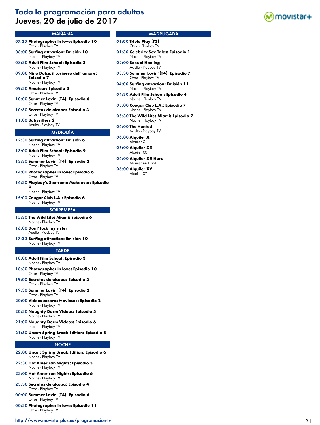# Toda la programación para adultos Jueves, 20 de julio de 2017



#### MAÑANA

- 07:30 **Photographer in love: Episodio 10** Otros - Playboy TV
- 08:00 **Surfing attraction: Emisión 10** Noche - Playboy TV
- 08:30 **Adult Film School: Episodio 3** Noche - Playboy TV
- 09:00 **Nino Dolce, il cucinero dell' amore: Episodio 7** Noche - Playboy TV
- 09:30 **Amateur: Episodio 3** Otros - Playboy TV
- 10:00 **Summer Lovin' (T4): Episodio 6** Otros - Playboy TV
- 10:30 **Secretos de alcoba: Episodio 3** Otros - Playboy TV

11:00 **Babysitters 2** Adulto - Playboy TV

#### MEDIODÍA

- 12:30 **Surfing attraction: Emisión 6** Noche - Playboy TV
- 13:00 **Adult Film School: Episodio 9** Noche - Playboy TV
- 13:30 **Summer Lovin' (T4): Episodio 2** Otros - Playboy TV
- 14:00 **Photographer in love: Episodio 6** Otros - Playboy TV
- 14:30 **Playboy's Sextreme Makeover: Episodio 9**

Noche - Playboy TV

15:00 **Cougar Club L.A.: Episodio 6** Noche - Playboy TV

#### **SOBREMESA**

- 15:30 **The Wild Life: Miami: Episodio 6** Noche - Playboy TV
- 16:00 **Dont' fuck my sister** Adulto - Playboy TV
- 17:30 **Surfing attraction: Emisión 10** Noche - Playboy TV

#### **TARDE**

- 18:00 **Adult Film School: Episodio 3** Noche - Playboy TV
- 18:30 **Photographer in love: Episodio 10** Otros - Playboy TV
- 19:00 **Secretos de alcoba: Episodio 3** Otros - Playboy TV
- 19:30 **Summer Lovin' (T4): Episodio 2** Otros - Playboy TV
- 20:00 **Vídeos caseros traviesos: Episodio 2** Noche - Playboy TV
- 20:30 **Naughty Dorm Videos: Episodio 5** Noche - Playboy TV
- 21:00 **Naughty Dorm Videos: Episodio 6** Noche - Playboy TV
- 21:30 **Uncut: Spring Break Edition: Episodio 5** Noche - Playboy TV

### **NOCHE**

- 22:00 **Uncut: Spring Break Edition: Episodio 6** Noche - Playboy TV
- 22:30 **Hot American Nights: Episodio 5** Noche - Playboy TV
- 23:00 **Hot American Nights: Episodio 6** Noche - Playboy TV
- 23:30 **Secretos de alcoba: Episodio 4** Otros - Playboy TV
- 00:00 **Summer Lovin' (T4): Episodio 6** Otros - Playboy TV
- 00:30 **Photographer in love: Episodio 11** Otros - Playboy TV

#### <http://www.movistarplus.es/programacion-tv> 21

- 01:00 **Triple Play (T3)** Otros - Playboy TV
- 01:30 **Celebrity Sex Tales: Episodio 1** Noche - Playboy TV
- 02:00 **Sexual Healing** Adulto - Playboy TV
- 03:30 **Summer Lovin' (T4): Episodio 7** Otros - Playboy TV
- 04:00 **Surfing attraction: Emisión 11** Noche - Playboy TV
- 04:30 **Adult Film School: Episodio 4** Noche - Playboy TV
- 05:00 **Cougar Club L.A.: Episodio 7** Noche - Playboy TV
- 05:30 **The Wild Life: Miami: Episodio 7** Noche - Playboy TV
- 06:00 **The Hunted** Adulto - Playboy TV
- 06:00 **Alquiler X** Alquiler X
- 06:00 **Alquiler XX** Alquiler XX
- 06:00 **Alquiler XX Hard** Alquiler XX Hard
- 06:00 **Alquiler XY** Alquiler XY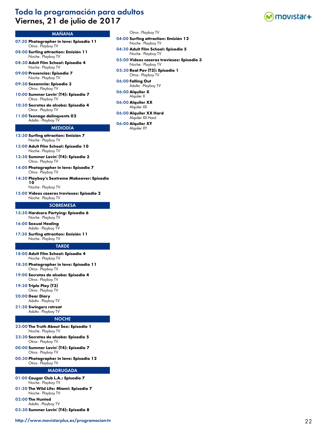# Toda la programación para adultos Viernes, 21 de julio de 2017



# MAÑANA

- 07:30 **Photographer in love: Episodio 11** Otros - Playboy TV
- 08:00 **Surfing attraction: Emisión 11** Noche - Playboy TV
- 08:30 **Adult Film School: Episodio 4** Noche - Playboy TV
- 09:00 **Presencias: Episodio 7** Noche - Playboy TV
- 09:30 **Sexomnia: Episodio 3** Otros - Playboy TV
- 10:00 **Summer Lovin' (T4): Episodio 7** Otros - Playboy TV
- 10:30 **Secretos de alcoba: Episodio 4** Otros - Playboy TV
- 11:00 **Teenage delinquents 02** Adulto - Playboy TV

#### MEDIODÍA

- 12:30 **Surfing attraction: Emisión 7** Noche - Playboy TV
- 13:00 **Adult Film School: Episodio 10** Noche - Playboy TV
- 13:30 **Summer Lovin' (T4): Episodio 3** Otros - Playboy TV
- 14:00 **Photographer in love: Episodio 7** Otros - Playboy TV
- 14:30 **Playboy's Sextreme Makeover: Episodio 10**

Noche - Playboy TV

15:00 **Vídeos caseros traviesos: Episodio 2** Noche - Playboy TV

#### **SOBREMESA**

- 15:30 **Hardcore Partying: Episodio 6** Noche - Playboy TV
- 16:00 **Sexual Healing** Adulto - Playboy TV
- 17:30 **Surfing attraction: Emisión 11** Noche - Playboy TV

#### TARDE

- 18:00 **Adult Film School: Episodio 4** Noche - Playboy TV
- 18:30 **Photographer in love: Episodio 11** Otros - Playboy TV
- 19:00 **Secretos de alcoba: Episodio 4** Otros - Playboy TV
- 19:30 **Triple Play (T3)** Otros - Playboy TV
- 20:00 **Dear Diary** Adulto - Playboy TV
- 21:30 **Swingers retreat** Adulto - Playboy TV

### **NOCHE**

- 23:00 **The Truth About Sex: Episodio 1** Noche - Playboy TV
- 23:30 **Secretos de alcoba: Episodio 5** Otros - Playboy TV
- 00:00 **Summer Lovin' (T4): Episodio 7** Otros - Playboy TV
- 00:30 **Photographer in love: Episodio 12** Otros - Playboy TV

- 01:00 **Cougar Club L.A.: Episodio 7** Noche - Playboy TV
- 01:30 **The Wild Life: Miami: Episodio 7** Noche - Playboy TV
- 02:00 **The Hunted** Adulto - Playboy TV
- 03:30 **Summer Lovin' (T4): Episodio 8**
- Otros Playboy TV
- 04:00 **Surfing attraction: Emisión 12** Noche - Playboy TV
- 04:30 **Adult Film School: Episodio 5** Noche - Playboy TV
- 05:00 **Vídeos caseros traviesos: Episodio 3** Noche - Playboy TV
- 05:30 **Real Pov (T2): Episodio 1** Otros - Playboy TV
- 06:00 **Falling Out** Adulto - Playboy TV
- 06:00 **Alquiler X** Alquiler X
- 06:00 **Alquiler XX** Alquiler XX
- 06:00 **Alquiler XX Hard** Alquiler XX Hard
- 06:00 **Alquiler XY** Alquiler XY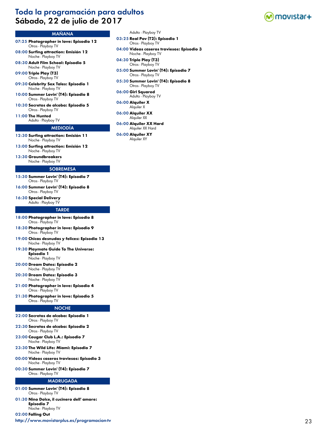# Toda la programación para adultos Sábado, 22 de julio de 2017



# MAÑANA

- 07:25 **Photographer in love: Episodio 12** Otros - Playboy TV
- 08:00 **Surfing attraction: Emisión 12** Noche - Playboy TV
- 08:30 **Adult Film School: Episodio 5** Noche - Playboy TV
- 09:00 **Triple Play (T3)** Otros - Playboy TV
- 09:30 **Celebrity Sex Tales: Episodio 1** Noche - Playboy TV
- 10:00 **Summer Lovin' (T4): Episodio 8** Otros - Playboy TV
- 10:30 **Secretos de alcoba: Episodio 5** Otros - Playboy TV
- 11:00 **The Hunted**
- Adulto Playboy TV

# MEDIODÍA

- 12:30 **Surfing attraction: Emisión 11** Noche - Playboy TV
- 13:00 **Surfing attraction: Emisión 12** Noche - Playboy TV
- 13:30 **Groundbreakers** Noche - Playboy TV

### **SOBREMESA**

- 15:30 **Summer Lovin' (T4): Episodio 7** Otros - Playboy TV
- 16:00 **Summer Lovin' (T4): Episodio 8** Otros - Playboy TV
- 16:30 **Special Delivery** Adulto - Playboy TV

#### **TARDE**

- 18:00 **Photographer in love: Episodio 8** Otros - Playboy TV
- 18:30 **Photographer in love: Episodio 9** Otros - Playboy TV
- 19:00 **Chicas desnudas y felices: Episodio 13** Noche - Playboy TV
- 19:30 **Playmate Guide To The Universe: Episodio 1** Noche - Playboy TV
- 20:00 **Dream Dates: Episodio 2** Noche - Playboy TV
- 20:30 **Dream Dates: Episodio 3** Noche - Playboy TV
- 21:00 **Photographer in love: Episodio 4** Otros - Playboy TV
- 21:30 **Photographer in love: Episodio 5** Otros - Playboy TV

#### **NOCHE**

- 22:00 **Secretos de alcoba: Episodio 1** Otros - Playboy TV
- 22:30 **Secretos de alcoba: Episodio 2** Otros - Playboy TV
- 23:00 **Cougar Club L.A.: Episodio 7** Noche - Playboy TV
- 23:30 **The Wild Life: Miami: Episodio 7** Noche - Playboy TV
- 00:00 **Vídeos caseros traviesos: Episodio 3** Noche - Playboy TV
- 00:30 **Summer Lovin' (T4): Episodio 7** Otros - Playboy TV

#### MADRUGADA

- 01:00 **Summer Lovin' (T4): Episodio 8** Otros - Playboy TV
- 01:30 **Nino Dolce, il cucinero dell' amore: Episodio 7** Noche - Playboy TV

02:00 **Falling Out**

<http://www.movistarplus.es/programacion-tv> 23

- Adulto Playboy TV
- 03:25 **Real Pov (T2): Episodio 1**
- Otros Playboy TV
- 04:00 **Vídeos caseros traviesos: Episodio 3** Noche - Playboy TV
- 04:30 **Triple Play (T3)** Otros - Playboy TV
- 05:00 **Summer Lovin' (T4): Episodio 7** Otros - Playboy TV
- 05:30 **Summer Lovin' (T4): Episodio 8** Otros - Playboy TV
- 06:00 **Girl Squared** Adulto - Playboy TV
- 06:00 **Alquiler X** Alquiler X
- 06:00 **Alquiler XX** Alquiler XX
- 06:00 **Alquiler XX Hard** Alquiler XX Hard
- 06:00 **Alquiler XY** Alquiler XY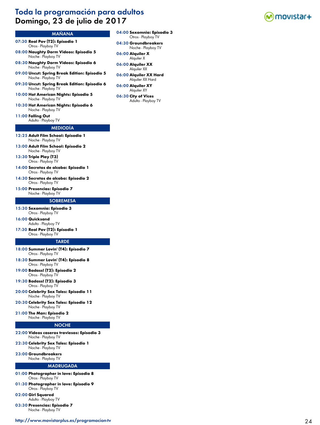# Toda la programación para adultos Domingo, 23 de julio de 2017



- 07:30 **Real Pov (T2): Episodio 1** Otros - Playboy TV
- 08:00 **Naughty Dorm Videos: Episodio 5** Noche - Playboy TV
- 08:30 **Naughty Dorm Videos: Episodio 6** Noche - Playboy TV
- 09:00 **Uncut: Spring Break Edition: Episodio 5** Noche - Playboy TV
- 09:30 **Uncut: Spring Break Edition: Episodio 6** Noche - Playboy TV
- 10:00 **Hot American Nights: Episodio 5** Noche - Playboy TV
- 10:30 **Hot American Nights: Episodio 6** Noche - Playboy TV
- 11:00 **Falling Out**

Adulto - Playboy TV

# MEDIODÍA

- 12:25 **Adult Film School: Episodio 1** Noche - Playboy TV
- 13:00 **Adult Film School: Episodio 2** Noche - Playboy TV
- 13:30 **Triple Play (T3)** Otros - Playboy TV
- 14:00 **Secretos de alcoba: Episodio 1** Otros - Playboy TV
- 14:30 **Secretos de alcoba: Episodio 2** Otros - Playboy TV
- 15:00 **Presencias: Episodio 7** Noche - Playboy TV

#### **SOBREMESA**

- 15:30 **Sexomnia: Episodio 3** Otros - Playboy TV
- 16:00 **Quicksand** Adulto - Playboy TV
- 17:30 **Real Pov (T2): Episodio 1** Otros - Playboy TV

#### **TARDE**

- 18:00 **Summer Lovin' (T4): Episodio 7** Otros - Playboy TV
- 18:30 **Summer Lovin' (T4): Episodio 8** Otros - Playboy TV
- 19:00 **Badass! (T2): Episodio 2** Otros - Playboy TV
- 19:30 **Badass! (T2): Episodio 3** Otros - Playboy TV
- 20:00 **Celebrity Sex Tales: Episodio 11** Noche - Playboy TV
- 20:30 **Celebrity Sex Tales: Episodio 12** Noche - Playboy TV
- 21:00 **The Man: Episodio 2** Noche - Playboy TV

#### NOCHE

- 22:00 **Vídeos caseros traviesos: Episodio 3** Noche - Playboy TV
- 22:30 **Celebrity Sex Tales: Episodio 1** Noche - Playboy TV
- 23:00 **Groundbreakers** Noche - Playboy TV

- 01:00 **Photographer in love: Episodio 8** Otros - Playboy TV
- 01:30 **Photographer in love: Episodio 9** Otros - Playboy TV
- 02:00 **Girl Squared** Adulto - Playboy TV
- 03:30 **Presencias: Episodio 7** Noche - Playboy TV
- <http://www.movistarplus.es/programacion-tv> 24
- 04:00 **Sexomnia: Episodio 3** Otros - Playboy TV
- 04:30 **Groundbreakers** Noche - Playboy TV
- 06:00 **Alquiler X** Alquiler X
- 06:00 **Alquiler XX** Alquiler XX
- 06:00 **Alquiler XX Hard** Alquiler XX Hard
- 06:00 **Alquiler XY** Alquiler XY
- 06:30 **City of Vices** Adulto - Playboy TV

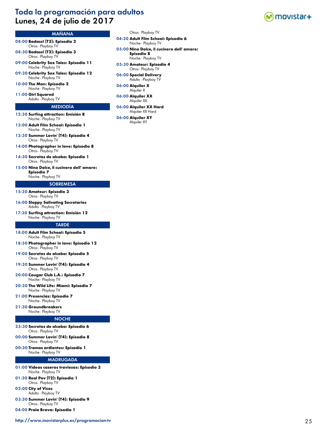# Toda la programación para adultos Lunes, 24 de julio de 2017



# MAÑANA

08:00 **Badass! (T2): Episodio 2** Otros - Playboy TV

08:30 **Badass! (T2): Episodio 3** Otros - Playboy TV

09:00 **Celebrity Sex Tales: Episodio 11** Noche - Playboy TV

09:30 **Celebrity Sex Tales: Episodio 12** Noche - Playboy TV

10:00 **The Man: Episodio 2** Noche - Playboy TV

11:00 **Girl Squared** Adulto - Playboy TV

#### MEDIODÍA

- 12:30 **Surfing attraction: Emisión 8** Noche - Playboy TV
- 13:00 **Adult Film School: Episodio 1** Noche - Playboy TV
- 13:30 **Summer Lovin' (T4): Episodio 4** Otros - Playboy TV
- 14:00 **Photographer in love: Episodio 8** Otros - Playboy TV
- 14:30 **Secretos de alcoba: Episodio 1** Otros - Playboy TV
- 15:00 **Nino Dolce, il cucinero dell' amore: Episodio 7** Noche - Playboy TV

### **SOBREMESA**

- 15:30 **Amateur: Episodio 3** Otros - Playboy TV
- 16:00 **Sloppy Salivating Secretaries** Adulto - Playboy TV
- 17:30 **Surfing attraction: Emisión 12** Noche - Playboy TV

#### **TARDE**

- 18:00 **Adult Film School: Episodio 5** Noche - Playboy TV
- 18:30 **Photographer in love: Episodio 12** Otros - Playboy TV
- 19:00 **Secretos de alcoba: Episodio 5** Otros - Playboy TV
- 19:30 **Summer Lovin' (T4): Episodio 4** Otros - Playboy TV
- 20:00 **Cougar Club L.A.: Episodio 7** Noche - Playboy TV
- 20:30 **The Wild Life: Miami: Episodio 7** Noche - Playboy TV
- 21:00 **Presencias: Episodio 7** Noche - Playboy TV
- 21:30 **Groundbreakers** Noche - Playboy TV

## **NOCHE**

- 23:30 **Secretos de alcoba: Episodio 6** Otros - Playboy TV
- 00:00 **Summer Lovin' (T4): Episodio 8** Otros - Playboy TV
- 00:30 **Tramas ardientes: Episodio 1** Noche - Playboy TV

#### MADRUGADA

- 01:00 **Vídeos caseros traviesos: Episodio 3** Noche - Playboy TV
- 01:30 **Real Pov (T2): Episodio 1** Otros - Playboy TV
- 02:00 **City of Vices** Adulto - Playboy TV
- 03:30 **Summer Lovin' (T4): Episodio 9** Otros - Playboy TV

04:00 **Praia Brava: Episodio 1**

- Otros Playboy TV
- 04:30 **Adult Film School: Episodio 6**

Noche - Playboy TV

- 05:00 **Nino Dolce, il cucinero dell' amore: Episodio 8** Noche - Playboy TV
- 05:30 **Amateur: Episodio 4** Otros - Playboy TV
- 06:00 **Special Delivery** Adulto - Playboy TV
- 06:00 **Alquiler X** Alquiler X
- 06:00 **Alquiler XX** Alquiler XX
- 06:00 **Alquiler XX Hard** Alquiler XX Hard

06:00 **Alquiler XY** Alquiler XY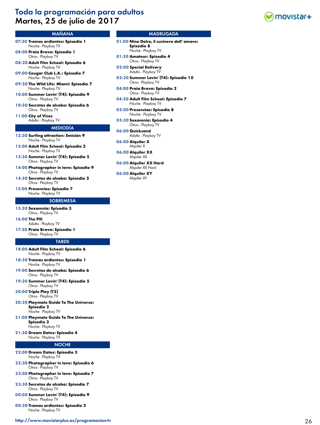# Toda la programación para adultos Martes, 25 de julio de 2017



# MAÑANA

- 07:30 **Tramas ardientes: Episodio 1** Noche - Playboy TV
- 08:00 **Praia Brava: Episodio 1** Otros - Playboy TV
- 08:30 **Adult Film School: Episodio 6** Noche - Playboy TV
- 09:00 **Cougar Club L.A.: Episodio 7** Noche - Playboy TV
- 09:30 **The Wild Life: Miami: Episodio 7** Noche - Playboy TV
- 10:00 **Summer Lovin' (T4): Episodio 9** Otros - Playboy TV
- 10:30 **Secretos de alcoba: Episodio 6** Otros - Playboy TV
- 11:00 **City of Vices** Adulto - Playboy TV
- 

# MEDIODÍA

- 12:30 **Surfing attraction: Emisión 9** Noche - Playboy TV
- 13:00 **Adult Film School: Episodio 2** Noche - Playboy TV
- 13:30 **Summer Lovin' (T4): Episodio 5** Otros - Playboy TV
- 14:00 **Photographer in love: Episodio 9** Otros - Playboy TV
- 14:30 **Secretos de alcoba: Episodio 2** Otros - Playboy TV
- 15:00 **Presencias: Episodio 7** Noche - Playboy TV

#### **SOBREMESA**

- 15:30 **Sexomnia: Episodio 3** Otros - Playboy TV
- 16:00 **The Pill** Adulto - Playboy TV
- 17:30 **Praia Brava: Episodio 1** Otros - Playboy TV

#### **TARDE**

- 18:00 **Adult Film School: Episodio 6** Noche - Playboy TV
- 18:30 **Tramas ardientes: Episodio 1** Noche - Playboy TV
- 19:00 **Secretos de alcoba: Episodio 6** Otros - Playboy TV
- 19:30 **Summer Lovin' (T4): Episodio 5** Otros - Playboy TV
- 20:00 **Triple Play (T3)** Otros - Playboy TV
- 20:30 **Playmate Guide To The Universe: Episodio 2** Noche - Playboy TV
- 21:00 **Playmate Guide To The Universe:** 
	- **Episodio 3** Noche - Playboy TV
- 21:30 **Dream Dates: Episodio 4** Noche - Playboy TV

# NOCHE

- 22:00 **Dream Dates: Episodio 5** Noche - Playboy TV
- 22:30 **Photographer in love: Episodio 6** Otros - Playboy TV
- 23:00 **Photographer in love: Episodio 7** Otros - Playboy TV
- 23:30 **Secretos de alcoba: Episodio 7** Otros - Playboy TV
- 00:00 **Summer Lovin' (T4): Episodio 9** Otros - Playboy TV
- 00:30 **Tramas ardientes: Episodio 2** Noche - Playboy TV

<http://www.movistarplus.es/programacion-tv> 26

- 01:00 **Nino Dolce, il cucinero dell' amore: Episodio 8** Noche - Playboy TV
- 01:30 **Amateur: Episodio 4** Otros - Playboy TV
- 02:00 **Special Delivery** Adulto - Playboy TV
- 03:30 **Summer Lovin' (T4): Episodio 10** Otros - Playboy TV
- 04:00 **Praia Brava: Episodio 2** Otros - Playboy TV
- 04:30 **Adult Film School: Episodio 7** Noche - Playboy TV
- 05:00 **Presencias: Episodio 8** Noche - Playboy TV
- 05:30 **Sexomnia: Episodio 4** Otros - Playboy TV
- 06:00 **Quicksand** Adulto - Playboy TV
- 06:00 **Alquiler X** Alquiler X
- 06:00 **Alquiler XX** Alquiler XX
- 06:00 **Alquiler XX Hard** Alquiler XX Hard
- 06:00 **Alquiler XY** Alquiler XY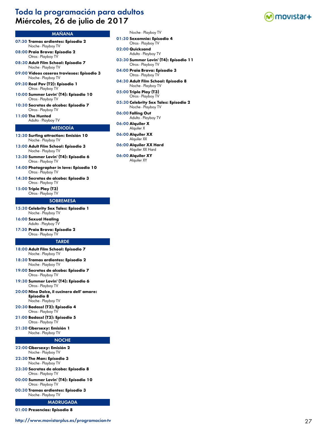# Toda la programación para adultos Miércoles, 26 de julio de 2017



# MAÑANA

- 07:30 **Tramas ardientes: Episodio 2** Noche - Playboy TV
- 08:00 **Praia Brava: Episodio 2** Otros - Playboy TV
- 08:30 **Adult Film School: Episodio 7** Noche - Playboy TV
- 09:00 **Vídeos caseros traviesos: Episodio 3** Noche - Playboy TV
- 09:30 **Real Pov (T2): Episodio 1** Otros - Playboy TV
- 10:00 **Summer Lovin' (T4): Episodio 10** Otros - Playboy TV
- 10:30 **Secretos de alcoba: Episodio 7** Otros - Playboy TV
- 11:00 **The Hunted**
- Adulto Playboy TV

# MEDIODÍA

- 12:30 **Surfing attraction: Emisión 10** Noche - Playboy TV
- 13:00 **Adult Film School: Episodio 3** Noche - Playboy TV
- 13:30 **Summer Lovin' (T4): Episodio 6** Otros - Playboy TV
- 14:00 **Photographer in love: Episodio 10** Otros - Playboy TV
- 14:30 **Secretos de alcoba: Episodio 3** Otros - Playboy TV
- 15:00 **Triple Play (T3)** Otros - Playboy TV

### **SOBREMESA**

- 15:30 **Celebrity Sex Tales: Episodio 1** Noche - Playboy TV
- 16:00 **Sexual Healing** Adulto - Playboy TV
- 17:30 **Praia Brava: Episodio 2** Otros - Playboy TV

#### **TARDE**

- 18:00 **Adult Film School: Episodio 7** Noche - Playboy TV
- 18:30 **Tramas ardientes: Episodio 2** Noche - Playboy TV
- 19:00 **Secretos de alcoba: Episodio 7** Otros - Playboy TV
- 19:30 **Summer Lovin' (T4): Episodio 6** Otros - Playboy TV
- 20:00 **Nino Dolce, il cucinero dell' amore: Episodio 8** Noche - Playboy TV
- 20:30 **Badass! (T2): Episodio 4** Otros - Playboy TV
- 21:00 **Badass! (T2): Episodio 5** Otros - Playboy TV
- 21:30 **Cibersexy: Emisión 1** Noche - Playboy TV

### **NOCHE**

- 22:00 **Cibersexy: Emisión 2** Noche - Playboy TV
- 22:30 **The Man: Episodio 3** Noche - Playboy TV
- 23:30 **Secretos de alcoba: Episodio 8** Otros - Playboy TV
- 00:00 **Summer Lovin' (T4): Episodio 10** Otros - Playboy TV
- 00:30 **Tramas ardientes: Episodio 3** Noche - Playboy TV

#### MADRUGADA

01:00 **Presencias: Episodio 8**

- Noche Playboy TV
- 01:30 **Sexomnia: Episodio 4** Otros - Playboy TV
- 02:00 **Quicksand** Adulto - Playboy TV
- 03:30 **Summer Lovin' (T4): Episodio 11** Otros - Playboy TV
- 04:00 **Praia Brava: Episodio 3** Otros - Playboy TV
- 04:30 **Adult Film School: Episodio 8** Noche - Playboy TV
- 05:00 **Triple Play (T3)** Otros - Playboy TV
- 05:30 **Celebrity Sex Tales: Episodio 2** Noche - Playboy TV
- 06:00 **Falling Out** Adulto - Playboy TV
- 06:00 **Alquiler X** Alquiler X
- 06:00 **Alquiler XX** Alquiler XX
- 06:00 **Alquiler XX Hard** Alquiler XX Hard
- 06:00 **Alquiler XY** Alquiler XY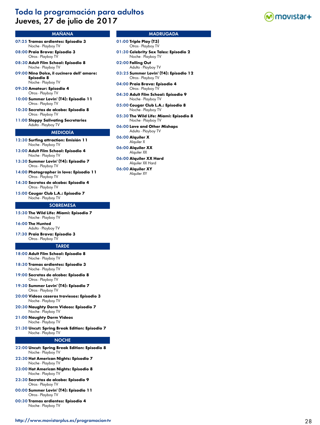# Toda la programación para adultos Jueves, 27 de julio de 2017



# MAÑANA

- 07:25 **Tramas ardientes: Episodio 3** Noche - Playboy TV
- 08:00 **Praia Brava: Episodio 3** Otros - Playboy TV
- 08:30 **Adult Film School: Episodio 8** Noche - Playboy TV
- 09:00 **Nino Dolce, il cucinero dell' amore: Episodio 8** Noche - Playboy TV
- 09:30 **Amateur: Episodio 4** Otros - Playboy TV
- 10:00 **Summer Lovin' (T4): Episodio 11** Otros - Playboy TV
- 10:30 **Secretos de alcoba: Episodio 8** Otros - Playboy TV
- 11:00 **Sloppy Salivating Secretaries** Adulto - Playboy TV

#### MEDIODÍA

- 12:30 **Surfing attraction: Emisión 11** Noche - Playboy TV
- 13:00 **Adult Film School: Episodio 4** Noche - Playboy TV
- 13:30 **Summer Lovin' (T4): Episodio 7** Otros - Playboy TV
- 14:00 **Photographer in love: Episodio 11** Otros - Playboy TV
- 14:30 **Secretos de alcoba: Episodio 4** Otros - Playboy TV
- 15:00 **Cougar Club L.A.: Episodio 7** Noche - Playboy TV

### **SOBREMESA**

- 15:30 **The Wild Life: Miami: Episodio 7** Noche - Playboy TV
- 16:00 **The Hunted** Adulto - Playboy TV
- 17:30 **Praia Brava: Episodio 3** Otros - Playboy TV

#### **TARDE**

- 18:00 **Adult Film School: Episodio 8** Noche - Playboy TV
- 18:30 **Tramas ardientes: Episodio 3** Noche - Playboy TV
- 19:00 **Secretos de alcoba: Episodio 8** Otros - Playboy TV
- 19:30 **Summer Lovin' (T4): Episodio 7** Otros - Playboy TV
- 20:00 **Vídeos caseros traviesos: Episodio 3** Noche - Playboy TV
- 20:30 **Naughty Dorm Videos: Episodio 7** Noche - Playboy TV
- 21:00 **Naughty Dorm Videos** Noche - Playboy TV
- 21:30 **Uncut: Spring Break Edition: Episodio 7** Noche - Playboy TV

#### NOCHE

- 22:00 **Uncut: Spring Break Edition: Episodio 8** Noche - Playboy TV
- 22:30 **Hot American Nights: Episodio 7** Noche - Playboy TV
- 23:00 **Hot American Nights: Episodio 8** Noche - Playboy TV
- 23:30 **Secretos de alcoba: Episodio 9** Otros - Playboy TV
- 00:00 **Summer Lovin' (T4): Episodio 11** Otros - Playboy TV
- 00:30 **Tramas ardientes: Episodio 4** Noche - Playboy TV

- 01:00 **Triple Play (T3)** Otros - Playboy TV
- 01:30 **Celebrity Sex Tales: Episodio 2** Noche - Playboy TV
- 02:00 **Falling Out** Adulto - Playboy TV
- 03:25 **Summer Lovin' (T4): Episodio 12** Otros - Playboy TV
- 04:00 **Praia Brava: Episodio 4** Otros - Playboy TV
- 04:30 **Adult Film School: Episodio 9** Noche - Playboy TV
- 05:00 **Cougar Club L.A.: Episodio 8** Noche - Playboy TV
- 05:30 **The Wild Life: Miami: Episodio 8** Noche - Playboy TV
- 06:00 **Love and Other Mishaps** Adulto - Playboy TV
- 06:00 **Alquiler X** Alquiler X
- 06:00 **Alquiler XX** Alquiler XX
- 06:00 **Alquiler XX Hard** Alquiler XX Hard
- 06:00 **Alquiler XY** Alquiler XY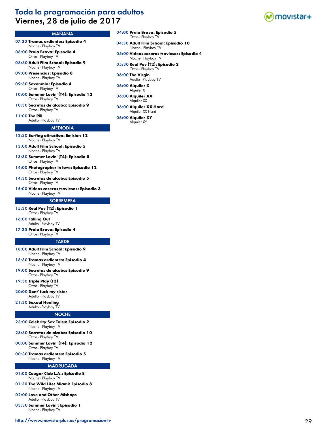# Toda la programación para adultos Viernes, 28 de julio de 2017



### MAÑANA

- 07:30 **Tramas ardientes: Episodio 4** Noche - Playboy TV
- 08:00 **Praia Brava: Episodio 4** Otros - Playboy TV
- 08:30 **Adult Film School: Episodio 9** Noche - Playboy TV
- 09:00 **Presencias: Episodio 8** Noche - Playboy TV

09:30 **Sexomnia: Episodio 4** Otros - Playboy TV

- 10:00 **Summer Lovin' (T4): Episodio 12** Otros - Playboy TV
- 10:30 **Secretos de alcoba: Episodio 9** Otros - Playboy TV

11:00 **The Pill** Adulto - Playboy TV

# MEDIODÍA

12:30 **Surfing attraction: Emisión 12** Noche - Playboy TV

13:00 **Adult Film School: Episodio 5** Noche - Playboy TV

- 13:30 **Summer Lovin' (T4): Episodio 8** Otros - Playboy TV
- 14:00 **Photographer in love: Episodio 12** Otros - Playboy TV

14:30 **Secretos de alcoba: Episodio 5** Otros - Playboy TV

15:00 **Vídeos caseros traviesos: Episodio 3** Noche - Playboy TV

#### **SOBREMESA**

- 15:30 **Real Pov (T2): Episodio 1** Otros - Playboy TV
- 16:00 **Falling Out** Adulto - Playboy TV
- 17:25 **Praia Brava: Episodio 4** Otros - Playboy TV

#### **TARDE**

- 18:00 **Adult Film School: Episodio 9** Noche - Playboy TV
- 18:30 **Tramas ardientes: Episodio 4** Noche - Playboy TV
- 19:00 **Secretos de alcoba: Episodio 9** Otros - Playboy TV
- 19:30 **Triple Play (T3)** Otros - Playboy TV

20:00 **Dont' fuck my sister** Adulto - Playboy TV

#### 21:30 **Sexual Healing** Adulto - Playboy TV

- **NOCHE**
- 23:00 **Celebrity Sex Tales: Episodio 2** Noche - Playboy TV
- 23:30 **Secretos de alcoba: Episodio 10** Otros - Playboy TV
- 00:00 **Summer Lovin' (T4): Episodio 12** Otros - Playboy TV
- 00:30 **Tramas ardientes: Episodio 5** Noche - Playboy TV

### MADRUGADA

- 01:00 **Cougar Club L.A.: Episodio 8** Noche - Playboy TV
- 01:30 **The Wild Life: Miami: Episodio 8** Noche - Playboy TV
- 02:00 **Love and Other Mishaps** Adulto - Playboy TV
- 03:30 **Summer Lovin': Episodio 1** Noche - Playboy TV
- 04:00 **Praia Brava: Episodio 5** Otros - Playboy TV
- 04:30 **Adult Film School: Episodio 10** Noche - Playboy TV
- 05:00 **Vídeos caseros traviesos: Episodio 4** Noche - Playboy TV
- 05:30 **Real Pov (T2): Episodio 2** Otros - Playboy TV
- 06:00 **The Virgin** Adulto - Playboy TV
- 06:00 **Alquiler X** Alquiler X
- 06:00 **Alquiler XX** Alquiler XX
- 06:00 **Alquiler XX Hard** Alquiler XX Hard

06:00 **Alquiler XY** Alquiler XY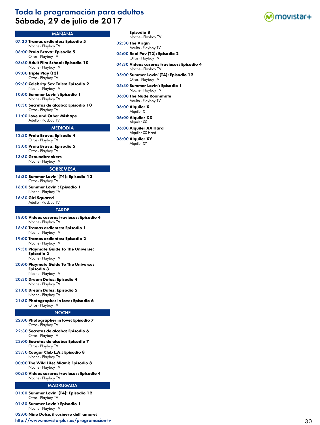# Toda la programación para adultos Sábado, 29 de julio de 2017



# MAÑANA

07:30 **Tramas ardientes: Episodio 5** Noche - Playboy TV

08:00 **Praia Brava: Episodio 5** Otros - Playboy TV

08:30 **Adult Film School: Episodio 10** Noche - Playboy TV

09:00 **Triple Play (T3)** Otros - Playboy TV

09:30 **Celebrity Sex Tales: Episodio 2** Noche - Playboy TV

10:00 **Summer Lovin': Episodio 1** Noche - Playboy TV

10:30 **Secretos de alcoba: Episodio 10** Otros - Playboy TV

11:00 **Love and Other Mishaps** Adulto - Playboy TV

#### MEDIODÍA

12:30 **Praia Brava: Episodio 4** Otros - Playboy TV

13:00 **Praia Brava: Episodio 5** Otros - Playboy TV

13:30 **Groundbreakers** Noche - Playboy TV

### **SOBREMESA**

15:30 **Summer Lovin' (T4): Episodio 12** Otros - Playboy TV

16:00 **Summer Lovin': Episodio 1** Noche - Playboy TV

16:30 **Girl Squared** Adulto - Playboy TV

#### **TARDE**

- 18:00 **Vídeos caseros traviesos: Episodio 4** Noche - Playboy TV
- 18:30 **Tramas ardientes: Episodio 1** Noche - Playboy TV
- 19:00 **Tramas ardientes: Episodio 2** Noche - Playboy TV
- 19:30 **Playmate Guide To The Universe: Episodio 2** Noche - Playboy TV
- 20:00 **Playmate Guide To The Universe: Episodio 3** Noche - Playboy TV
- 20:30 **Dream Dates: Episodio 4** Noche - Playboy TV

21:00 **Dream Dates: Episodio 5** Noche - Playboy TV

21:30 **Photographer in love: Episodio 6** Otros - Playboy TV

#### NOCHE

- 22:00 **Photographer in love: Episodio 7** Otros - Playboy TV
- 22:30 **Secretos de alcoba: Episodio 6** Otros - Playboy TV
- 23:00 **Secretos de alcoba: Episodio 7** Otros - Playboy TV
- 23:30 **Cougar Club L.A.: Episodio 8** Noche - Playboy TV
- 00:00 **The Wild Life: Miami: Episodio 8** Noche - Playboy TV
- 00:30 **Vídeos caseros traviesos: Episodio 4** Noche - Playboy TV

#### MADRUGADA

- 01:00 **Summer Lovin' (T4): Episodio 12** Otros - Playboy TV
- 01:30 **Summer Lovin': Episodio 1** Noche - Playboy TV

02:00 **Nino Dolce, il cucinero dell' amore:** 

<http://www.movistarplus.es/programacion-tv> 30

# **Episodio 8**

Noche - Playboy TV

02:30 **The Virgin** Adulto - Playboy TV

- 04:00 **Real Pov (T2): Episodio 2** Otros - Playboy TV
- 04:30 **Vídeos caseros traviesos: Episodio 4** Noche - Playboy TV
- 05:00 **Summer Lovin' (T4): Episodio 12** Otros - Playboy TV
- 05:30 **Summer Lovin': Episodio 1** Noche - Playboy TV
- 06:00 **The Nude Roommate** Adulto - Playboy TV
- 06:00 **Alquiler X** Alquiler X
- 06:00 **Alquiler XX** Alquiler XX
- 06:00 **Alquiler XX Hard** Alquiler XX Hard
- 06:00 **Alquiler XY** Alquiler XY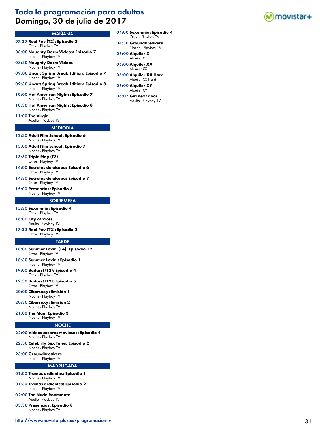# Toda la programación para adultos Domingo, 30 de julio de 2017



- 07:30 **Real Pov (T2): Episodio 2** Otros - Playboy TV
- 08:00 **Naughty Dorm Videos: Episodio 7** Noche - Playboy TV

08:30 **Naughty Dorm Videos** Noche - Playboy TV

- 09:00 **Uncut: Spring Break Edition: Episodio 7** Noche - Playboy TV
- 09:30 **Uncut: Spring Break Edition: Episodio 8** Noche - Playboy TV
- 10:00 **Hot American Nights: Episodio 7** Noche - Playboy TV
- 10:30 **Hot American Nights: Episodio 8** Noche - Playboy TV

11:00 **The Virgin**

Adulto - Playboy TV

# MEDIODÍA

- 12:30 **Adult Film School: Episodio 6** Noche - Playboy TV
- 13:00 **Adult Film School: Episodio 7** Noche - Playboy TV
- 13:30 **Triple Play (T3)** Otros - Playboy TV
- 14:00 **Secretos de alcoba: Episodio 6** Otros - Playboy TV
- 14:30 **Secretos de alcoba: Episodio 7** Otros - Playboy TV
- 15:00 **Presencias: Episodio 8** Noche - Playboy TV

#### **SOBREMESA**

- 15:30 **Sexomnia: Episodio 4** Otros - Playboy TV
- 16:00 **City of Vices** Adulto - Playboy TV
- 17:30 **Real Pov (T2): Episodio 2** Otros - Playboy TV

#### **TARDE**

- 18:00 **Summer Lovin' (T4): Episodio 12** Otros - Playboy TV
- 18:30 **Summer Lovin': Episodio 1** Noche - Playboy TV
- 19:00 **Badass! (T2): Episodio 4** Otros - Playboy TV
- 19:30 **Badass! (T2): Episodio 5** Otros - Playboy TV
- 20:00 **Cibersexy: Emisión 1** Noche - Playboy TV
- 20:30 **Cibersexy: Emisión 2** Noche - Playboy TV
- 21:00 **The Man: Episodio 3** Noche - Playboy TV

#### NOCHE

- 22:00 **Vídeos caseros traviesos: Episodio 4** Noche - Playboy TV
- 22:30 **Celebrity Sex Tales: Episodio 2** Noche - Playboy TV
- 23:00 **Groundbreakers** Noche - Playboy TV

- 01:00 **Tramas ardientes: Episodio 1** Noche - Playboy TV
- 01:30 **Tramas ardientes: Episodio 2** Noche - Playboy TV
- 02:00 **The Nude Roommate** Adulto - Playboy TV
- 03:30 **Presencias: Episodio 8** Noche - Playboy TV
- <http://www.movistarplus.es/programacion-tv> 31
- 04:00 **Sexomnia: Episodio 4** Otros - Playboy TV
- 04:30 **Groundbreakers** Noche - Playboy TV
- 06:00 **Alquiler X** Alquiler X
- 06:00 **Alquiler XX** Alquiler XX
- 06:00 **Alquiler XX Hard** Alquiler XX Hard
- 06:00 **Alquiler XY** Alquiler XY
- 06:07 **Girl next door** Adulto - Playboy TV